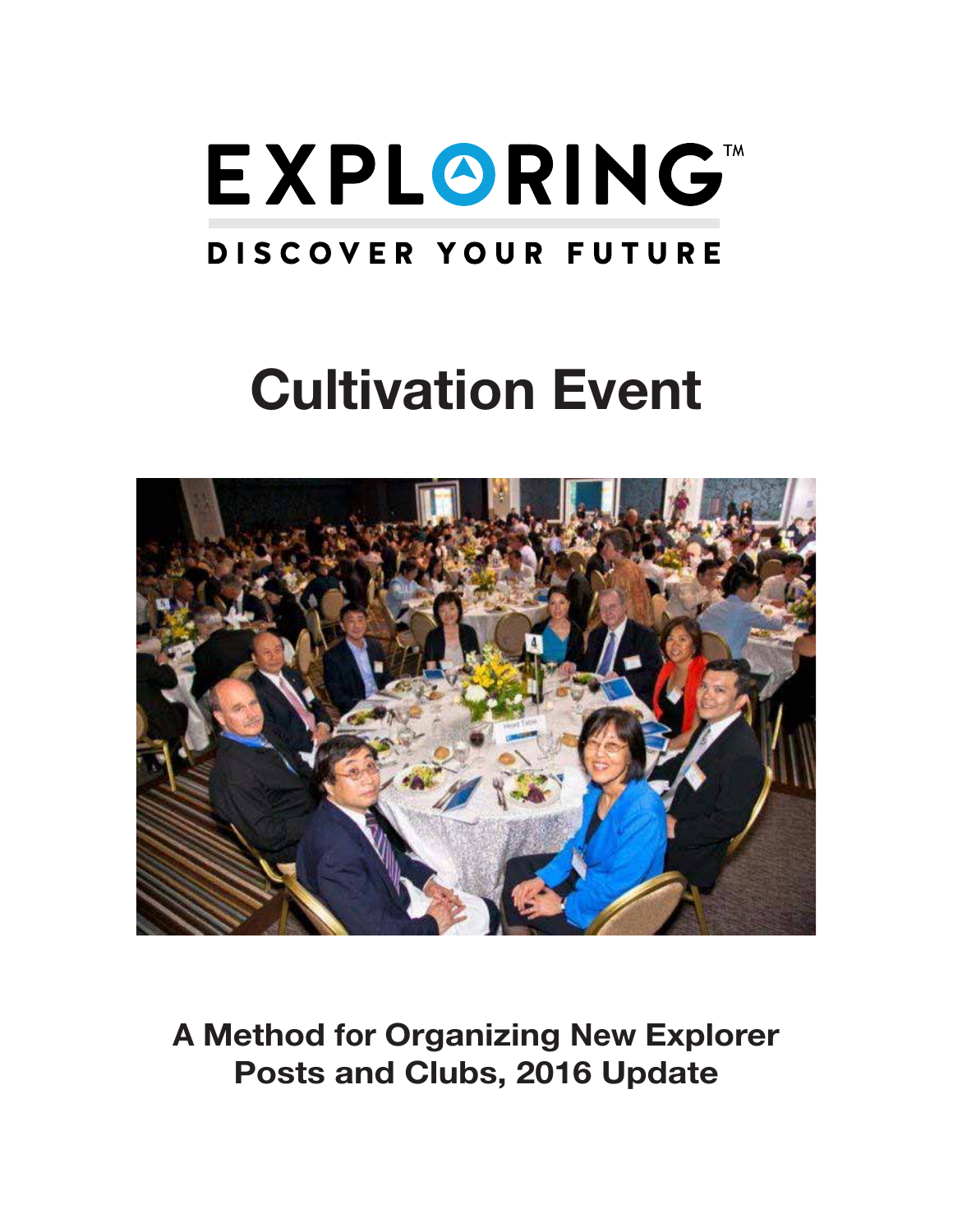

# Cultivation Event



A Method for Organizing New Explorer Posts and Clubs, 2016 Update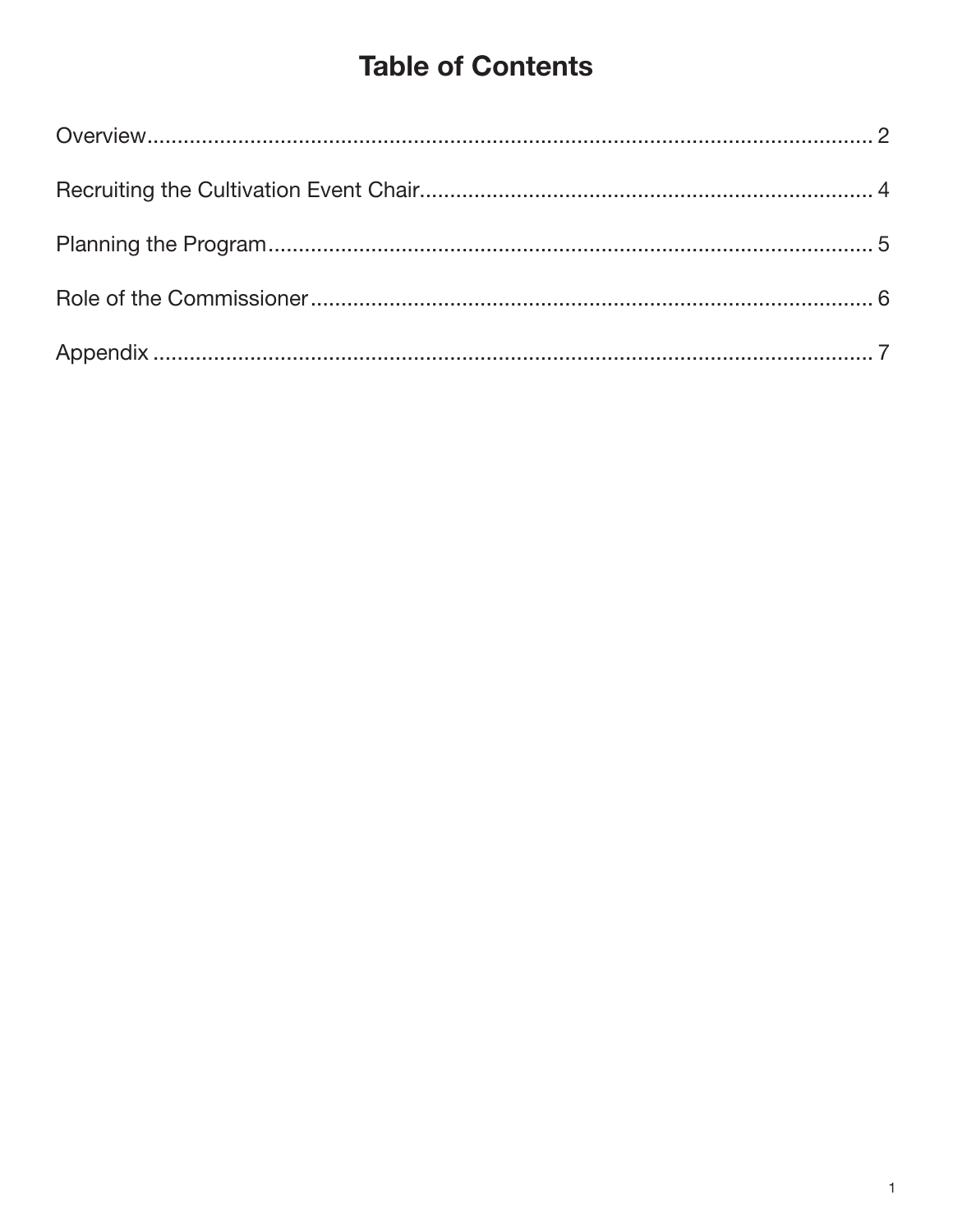# **Table of Contents**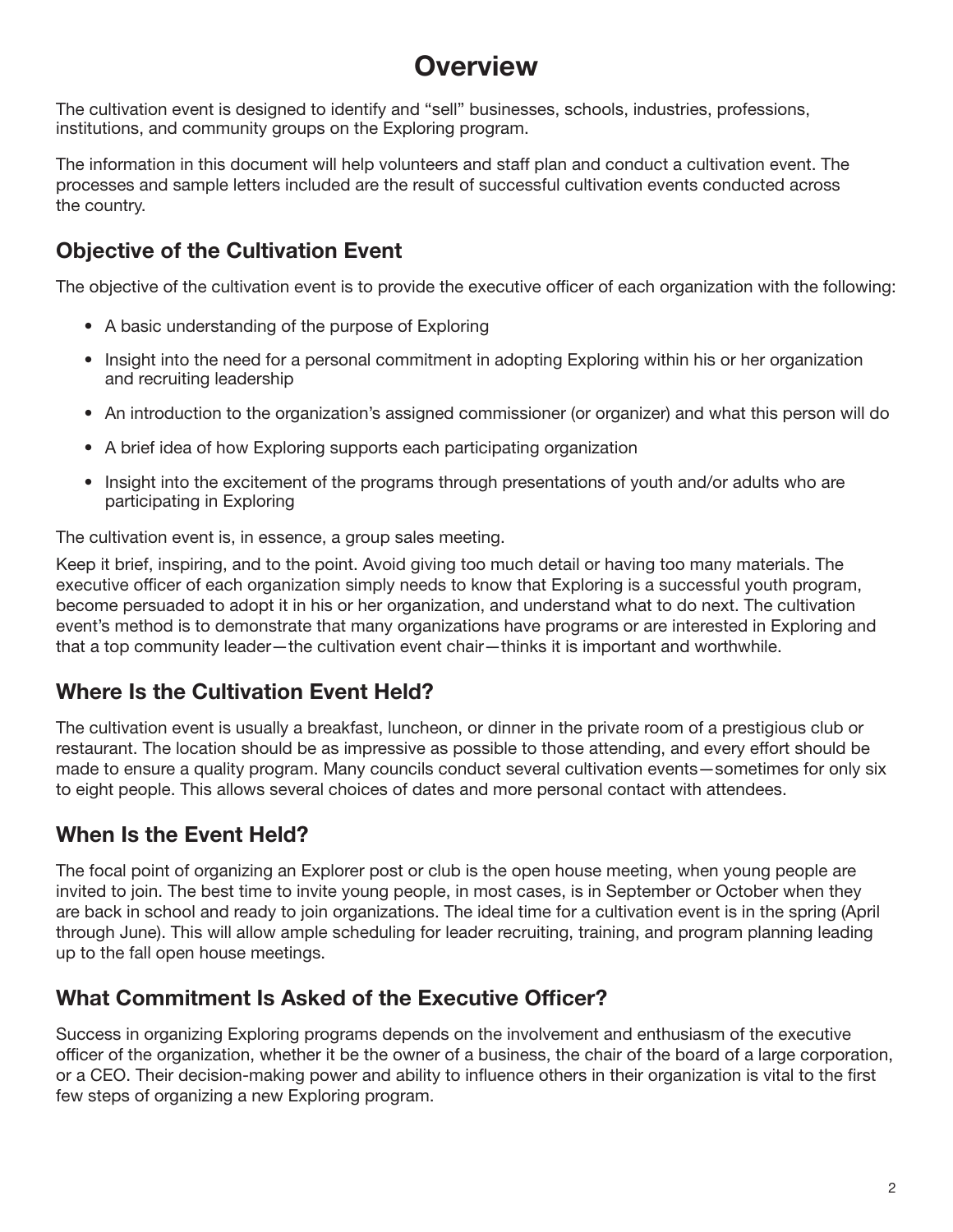# **Overview**

The cultivation event is designed to identify and "sell" businesses, schools, industries, professions, institutions, and community groups on the Exploring program.

The information in this document will help volunteers and staff plan and conduct a cultivation event. The processes and sample letters included are the result of successful cultivation events conducted across the country.

### Objective of the Cultivation Event

The objective of the cultivation event is to provide the executive officer of each organization with the following:

- A basic understanding of the purpose of Exploring
- Insight into the need for a personal commitment in adopting Exploring within his or her organization and recruiting leadership
- An introduction to the organization's assigned commissioner (or organizer) and what this person will do
- A brief idea of how Exploring supports each participating organization
- Insight into the excitement of the programs through presentations of youth and/or adults who are participating in Exploring

The cultivation event is, in essence, a group sales meeting.

Keep it brief, inspiring, and to the point. Avoid giving too much detail or having too many materials. The executive officer of each organization simply needs to know that Exploring is a successful youth program, become persuaded to adopt it in his or her organization, and understand what to do next. The cultivation event's method is to demonstrate that many organizations have programs or are interested in Exploring and that a top community leader—the cultivation event chair—thinks it is important and worthwhile.

### Where Is the Cultivation Event Held?

The cultivation event is usually a breakfast, luncheon, or dinner in the private room of a prestigious club or restaurant. The location should be as impressive as possible to those attending, and every effort should be made to ensure a quality program. Many councils conduct several cultivation events—sometimes for only six to eight people. This allows several choices of dates and more personal contact with attendees.

### When Is the Event Held?

The focal point of organizing an Explorer post or club is the open house meeting, when young people are invited to join. The best time to invite young people, in most cases, is in September or October when they are back in school and ready to join organizations. The ideal time for a cultivation event is in the spring (April through June). This will allow ample scheduling for leader recruiting, training, and program planning leading up to the fall open house meetings.

### What Commitment Is Asked of the Executive Officer?

Success in organizing Exploring programs depends on the involvement and enthusiasm of the executive officer of the organization, whether it be the owner of a business, the chair of the board of a large corporation, or a CEO. Their decision-making power and ability to influence others in their organization is vital to the first few steps of organizing a new Exploring program.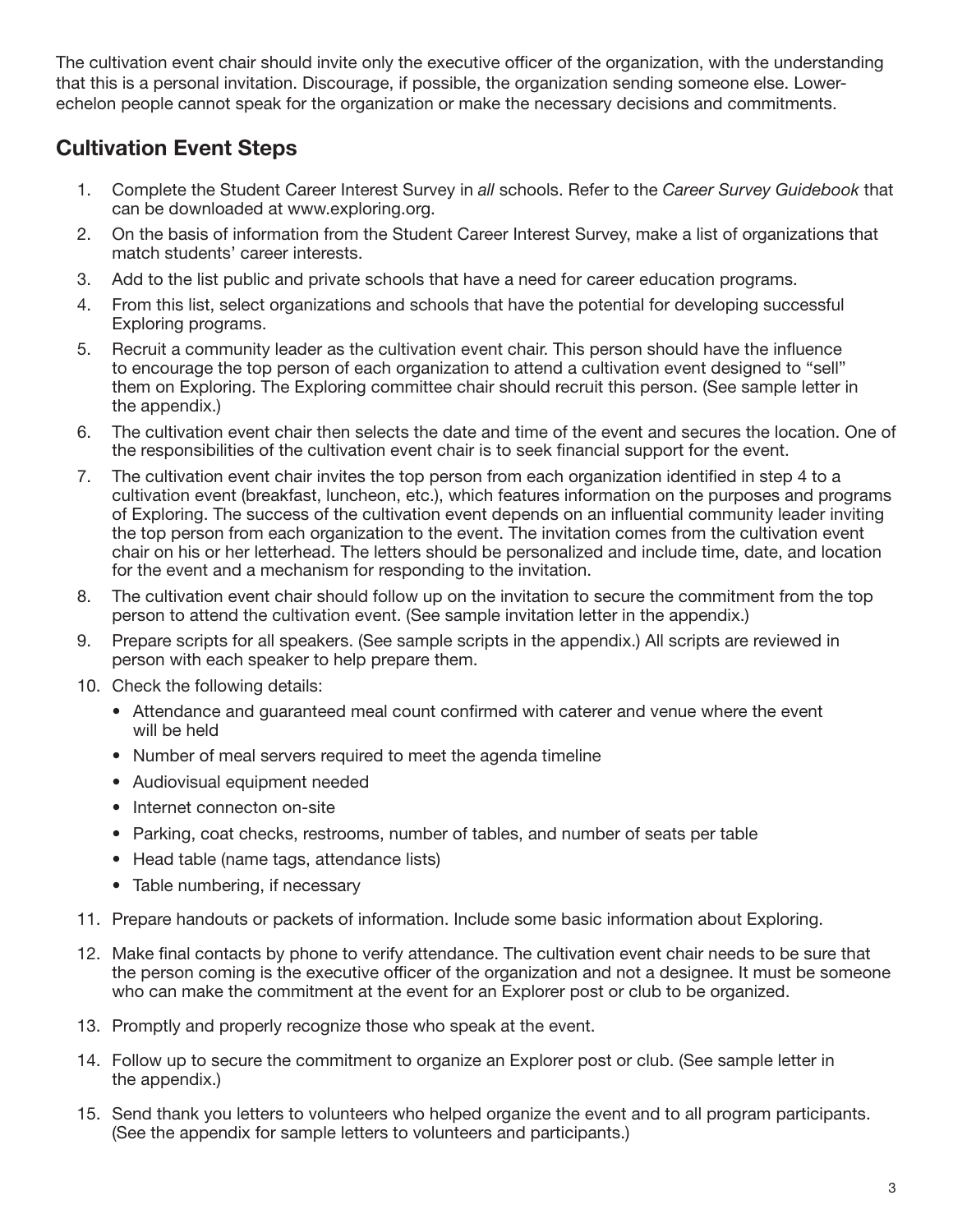The cultivation event chair should invite only the executive officer of the organization, with the understanding that this is a personal invitation. Discourage, if possible, the organization sending someone else. Lowerechelon people cannot speak for the organization or make the necessary decisions and commitments.

### Cultivation Event Steps

- 1. Complete the Student Career Interest Survey in *all* schools. Refer to the *Career Survey Guidebook* that can be downloaded at www.exploring.org.
- 2. On the basis of information from the Student Career Interest Survey, make a list of organizations that match students' career interests.
- 3. Add to the list public and private schools that have a need for career education programs.
- 4. From this list, select organizations and schools that have the potential for developing successful Exploring programs.
- 5. Recruit a community leader as the cultivation event chair. This person should have the influence to encourage the top person of each organization to attend a cultivation event designed to "sell" them on Exploring. The Exploring committee chair should recruit this person. (See sample letter in the appendix.)
- 6. The cultivation event chair then selects the date and time of the event and secures the location. One of the responsibilities of the cultivation event chair is to seek financial support for the event.
- 7. The cultivation event chair invites the top person from each organization identified in step 4 to a cultivation event (breakfast, luncheon, etc.), which features information on the purposes and programs of Exploring. The success of the cultivation event depends on an influential community leader inviting the top person from each organization to the event. The invitation comes from the cultivation event chair on his or her letterhead. The letters should be personalized and include time, date, and location for the event and a mechanism for responding to the invitation.
- 8. The cultivation event chair should follow up on the invitation to secure the commitment from the top person to attend the cultivation event. (See sample invitation letter in the appendix.)
- 9. Prepare scripts for all speakers. (See sample scripts in the appendix.) All scripts are reviewed in person with each speaker to help prepare them.
- 10. Check the following details:
	- Attendance and guaranteed meal count confirmed with caterer and venue where the event will be held
	- Number of meal servers required to meet the agenda timeline
	- Audiovisual equipment needed
	- Internet connecton on-site
	- Parking, coat checks, restrooms, number of tables, and number of seats per table
	- Head table (name tags, attendance lists)
	- Table numbering, if necessary
- 11. Prepare handouts or packets of information. Include some basic information about Exploring.
- 12. Make final contacts by phone to verify attendance. The cultivation event chair needs to be sure that the person coming is the executive officer of the organization and not a designee. It must be someone who can make the commitment at the event for an Explorer post or club to be organized.
- 13. Promptly and properly recognize those who speak at the event.
- 14. Follow up to secure the commitment to organize an Explorer post or club. (See sample letter in the appendix.)
- 15. Send thank you letters to volunteers who helped organize the event and to all program participants. (See the appendix for sample letters to volunteers and participants.)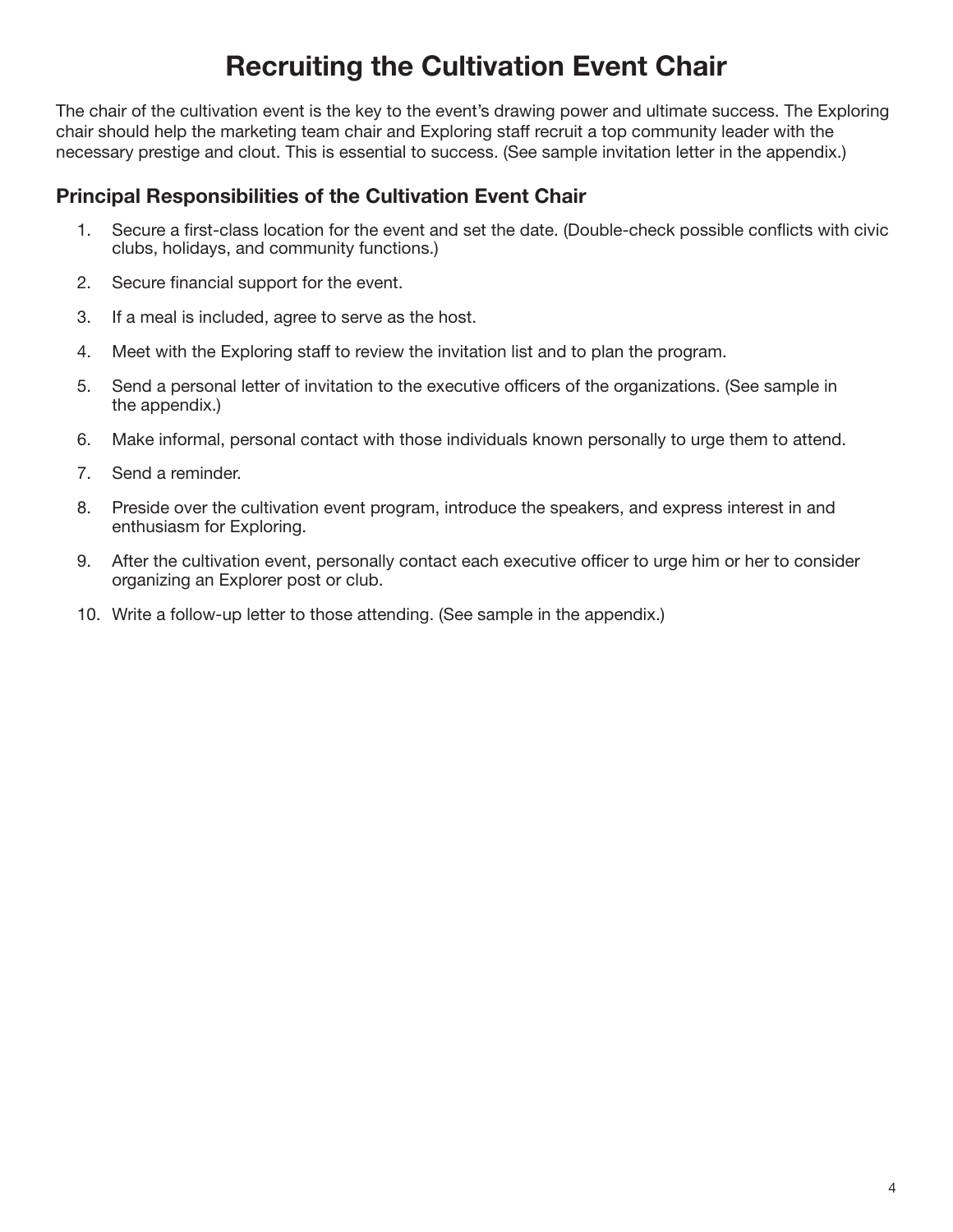# Recruiting the Cultivation Event Chair

The chair of the cultivation event is the key to the event's drawing power and ultimate success. The Exploring chair should help the marketing team chair and Exploring staff recruit a top community leader with the necessary prestige and clout. This is essential to success. (See sample invitation letter in the appendix.)

#### Principal Responsibilities of the Cultivation Event Chair

- 1. Secure a first-class location for the event and set the date. (Double-check possible conflicts with civic clubs, holidays, and community functions.)
- 2. Secure financial support for the event.
- 3. If a meal is included, agree to serve as the host.
- 4. Meet with the Exploring staff to review the invitation list and to plan the program.
- 5. Send a personal letter of invitation to the executive officers of the organizations. (See sample in the appendix.)
- 6. Make informal, personal contact with those individuals known personally to urge them to attend.
- 7. Send a reminder.
- 8. Preside over the cultivation event program, introduce the speakers, and express interest in and enthusiasm for Exploring.
- 9. After the cultivation event, personally contact each executive officer to urge him or her to consider organizing an Explorer post or club.
- 10. Write a follow-up letter to those attending. (See sample in the appendix.)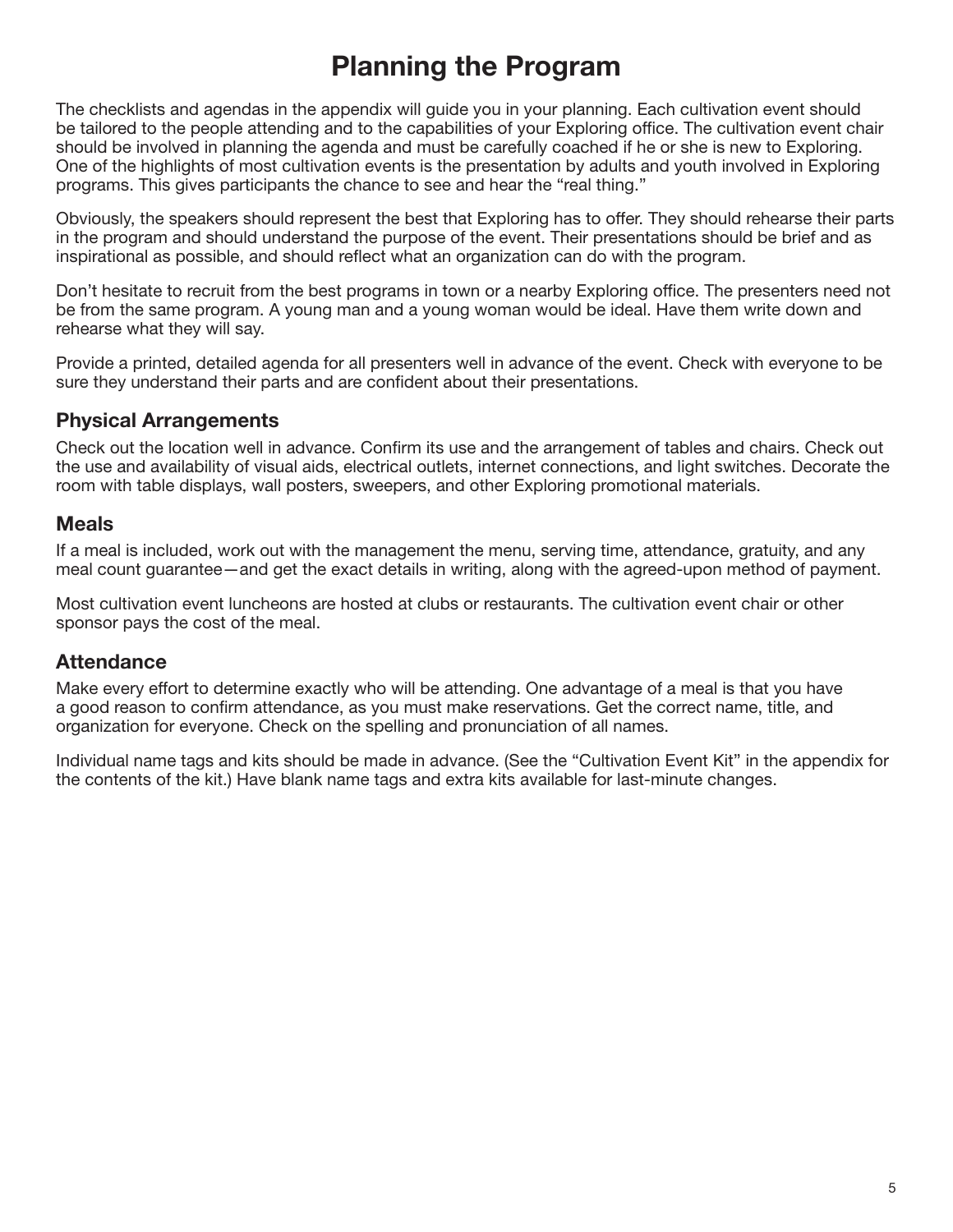# Planning the Program

The checklists and agendas in the appendix will guide you in your planning. Each cultivation event should be tailored to the people attending and to the capabilities of your Exploring office. The cultivation event chair should be involved in planning the agenda and must be carefully coached if he or she is new to Exploring. One of the highlights of most cultivation events is the presentation by adults and youth involved in Exploring programs. This gives participants the chance to see and hear the "real thing."

Obviously, the speakers should represent the best that Exploring has to offer. They should rehearse their parts in the program and should understand the purpose of the event. Their presentations should be brief and as inspirational as possible, and should reflect what an organization can do with the program.

Don't hesitate to recruit from the best programs in town or a nearby Exploring office. The presenters need not be from the same program. A young man and a young woman would be ideal. Have them write down and rehearse what they will say.

Provide a printed, detailed agenda for all presenters well in advance of the event. Check with everyone to be sure they understand their parts and are confident about their presentations.

#### Physical Arrangements

Check out the location well in advance. Confirm its use and the arrangement of tables and chairs. Check out the use and availability of visual aids, electrical outlets, internet connections, and light switches. Decorate the room with table displays, wall posters, sweepers, and other Exploring promotional materials.

#### **Meals**

If a meal is included, work out with the management the menu, serving time, attendance, gratuity, and any meal count guarantee—and get the exact details in writing, along with the agreed-upon method of payment.

Most cultivation event luncheons are hosted at clubs or restaurants. The cultivation event chair or other sponsor pays the cost of the meal.

#### **Attendance**

Make every effort to determine exactly who will be attending. One advantage of a meal is that you have a good reason to confirm attendance, as you must make reservations. Get the correct name, title, and organization for everyone. Check on the spelling and pronunciation of all names.

Individual name tags and kits should be made in advance. (See the "Cultivation Event Kit" in the appendix for the contents of the kit.) Have blank name tags and extra kits available for last-minute changes.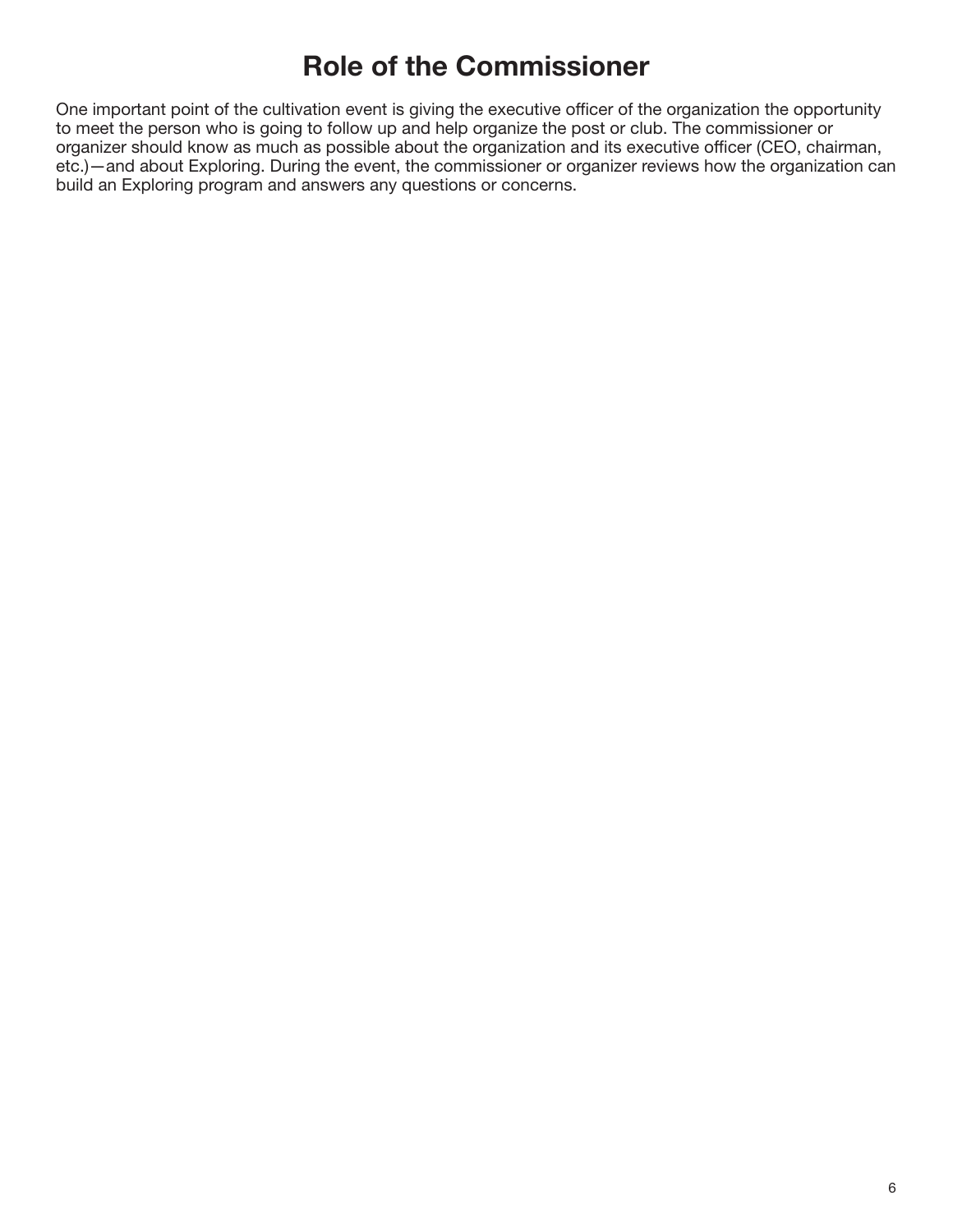# Role of the Commissioner

One important point of the cultivation event is giving the executive officer of the organization the opportunity to meet the person who is going to follow up and help organize the post or club. The commissioner or organizer should know as much as possible about the organization and its executive officer (CEO, chairman, etc.)—and about Exploring. During the event, the commissioner or organizer reviews how the organization can build an Exploring program and answers any questions or concerns.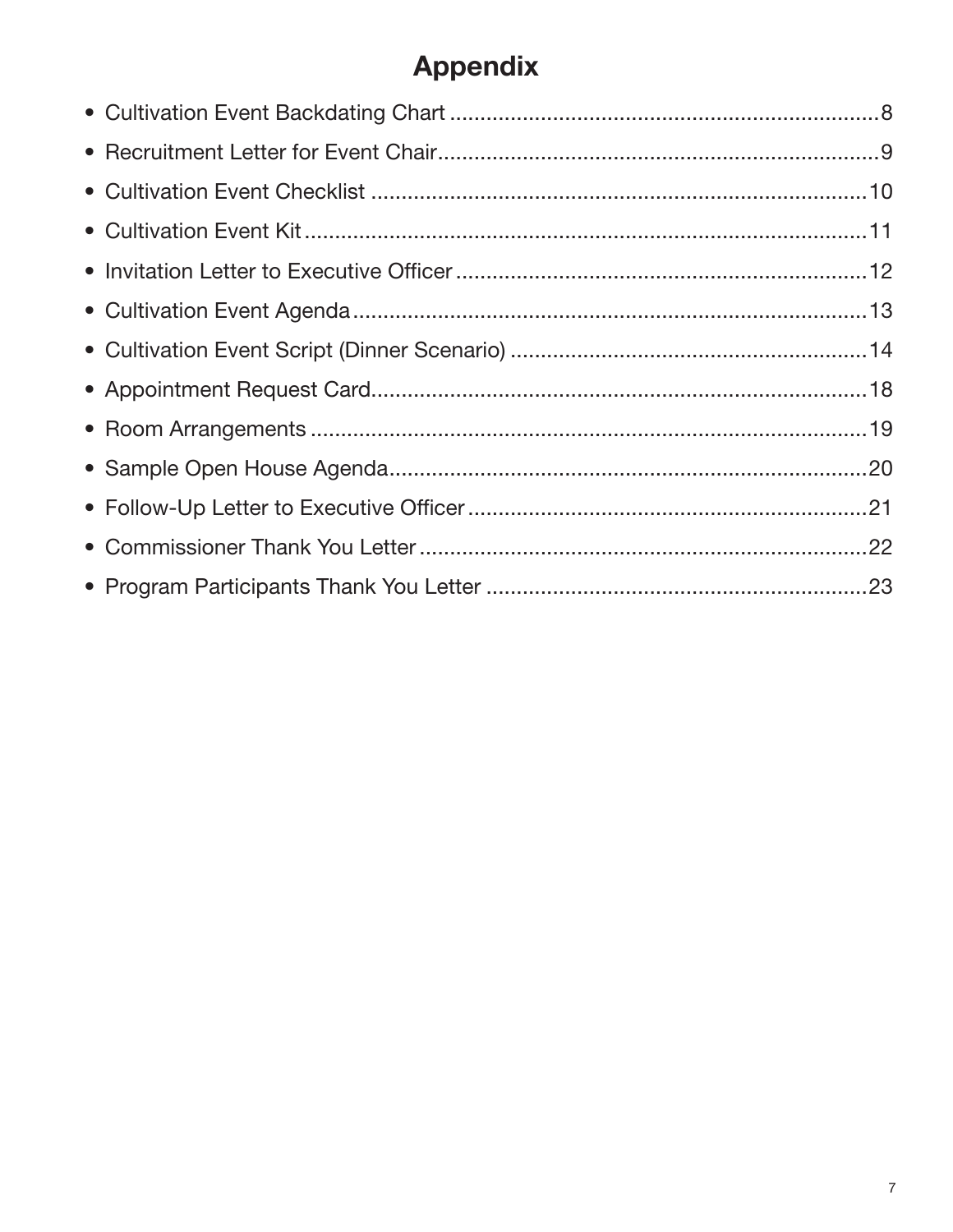# **Appendix**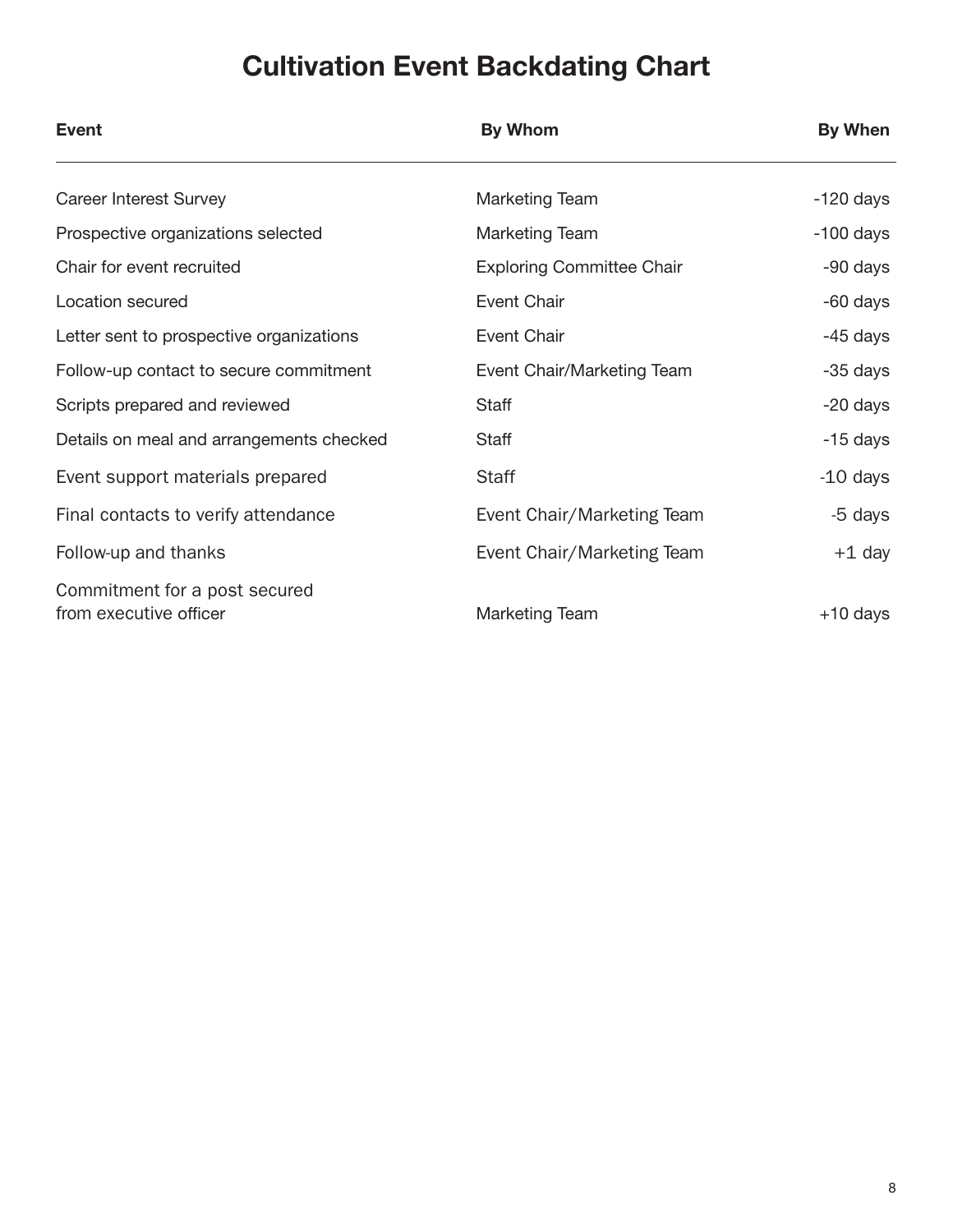# Cultivation Event Backdating Chart

| <b>Event</b>                                            | <b>By Whom</b>                   | By When     |
|---------------------------------------------------------|----------------------------------|-------------|
| <b>Career Interest Survey</b>                           | <b>Marketing Team</b>            | $-120$ days |
| Prospective organizations selected                      | <b>Marketing Team</b>            | $-100$ days |
| Chair for event recruited                               | <b>Exploring Committee Chair</b> | -90 days    |
| Location secured                                        | Event Chair                      | -60 days    |
| Letter sent to prospective organizations                | Event Chair                      | -45 days    |
| Follow-up contact to secure commitment                  | Event Chair/Marketing Team       | -35 days    |
| Scripts prepared and reviewed                           | Staff                            | -20 days    |
| Details on meal and arrangements checked                | Staff                            | -15 days    |
| Event support materials prepared                        | <b>Staff</b>                     | $-10$ days  |
| Final contacts to verify attendance                     | Event Chair/Marketing Team       | -5 days     |
| Follow-up and thanks                                    | Event Chair/Marketing Team       | +1 day      |
| Commitment for a post secured<br>from executive officer | Marketing Team                   | $+10$ days  |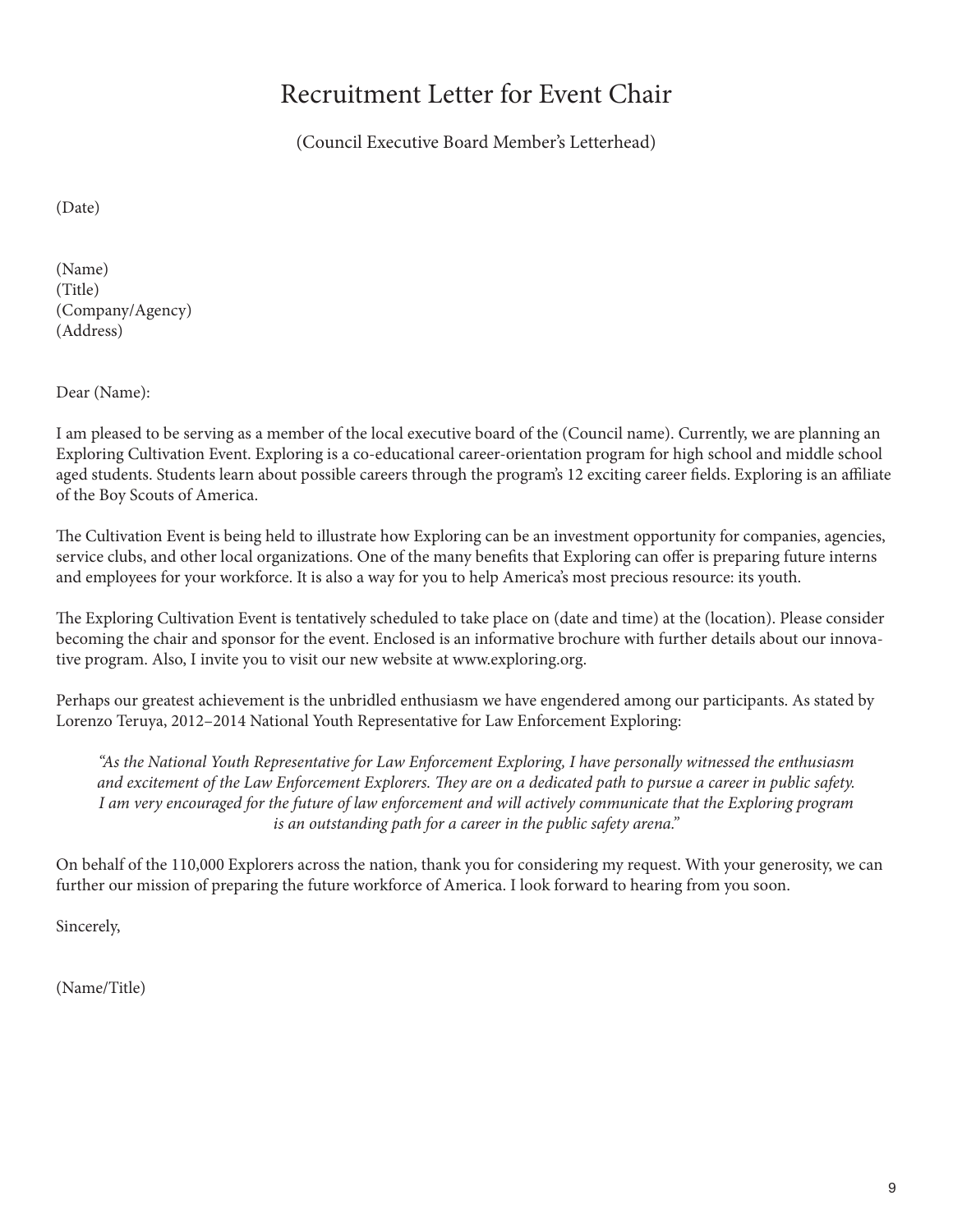# Recruitment Letter for Event Chair

(Council Executive Board Member's Letterhead)

(Date)

(Name) (Title) (Company/Agency) (Address)

Dear (Name):

I am pleased to be serving as a member of the local executive board of the (Council name). Currently, we are planning an Exploring Cultivation Event. Exploring is a co-educational career-orientation program for high school and middle school aged students. Students learn about possible careers through the program's 12 exciting career fields. Exploring is an affiliate of the Boy Scouts of America.

The Cultivation Event is being held to illustrate how Exploring can be an investment opportunity for companies, agencies, service clubs, and other local organizations. One of the many benefits that Exploring can offer is preparing future interns and employees for your workforce. It is also a way for you to help America's most precious resource: its youth.

The Exploring Cultivation Event is tentatively scheduled to take place on (date and time) at the (location). Please consider becoming the chair and sponsor for the event. Enclosed is an informative brochure with further details about our innovative program. Also, I invite you to visit our new website at www.exploring.org.

Perhaps our greatest achievement is the unbridled enthusiasm we have engendered among our participants. As stated by Lorenzo Teruya, 2012–2014 National Youth Representative for Law Enforcement Exploring:

*"As the National Youth Representative for Law Enforcement Exploring, I have personally witnessed the enthusiasm and excitement of the Law Enforcement Explorers. They are on a dedicated path to pursue a career in public safety. I am very encouraged for the future of law enforcement and will actively communicate that the Exploring program is an outstanding path for a career in the public safety arena."*

On behalf of the 110,000 Explorers across the nation, thank you for considering my request. With your generosity, we can further our mission of preparing the future workforce of America. I look forward to hearing from you soon.

Sincerely,

(Name/Title)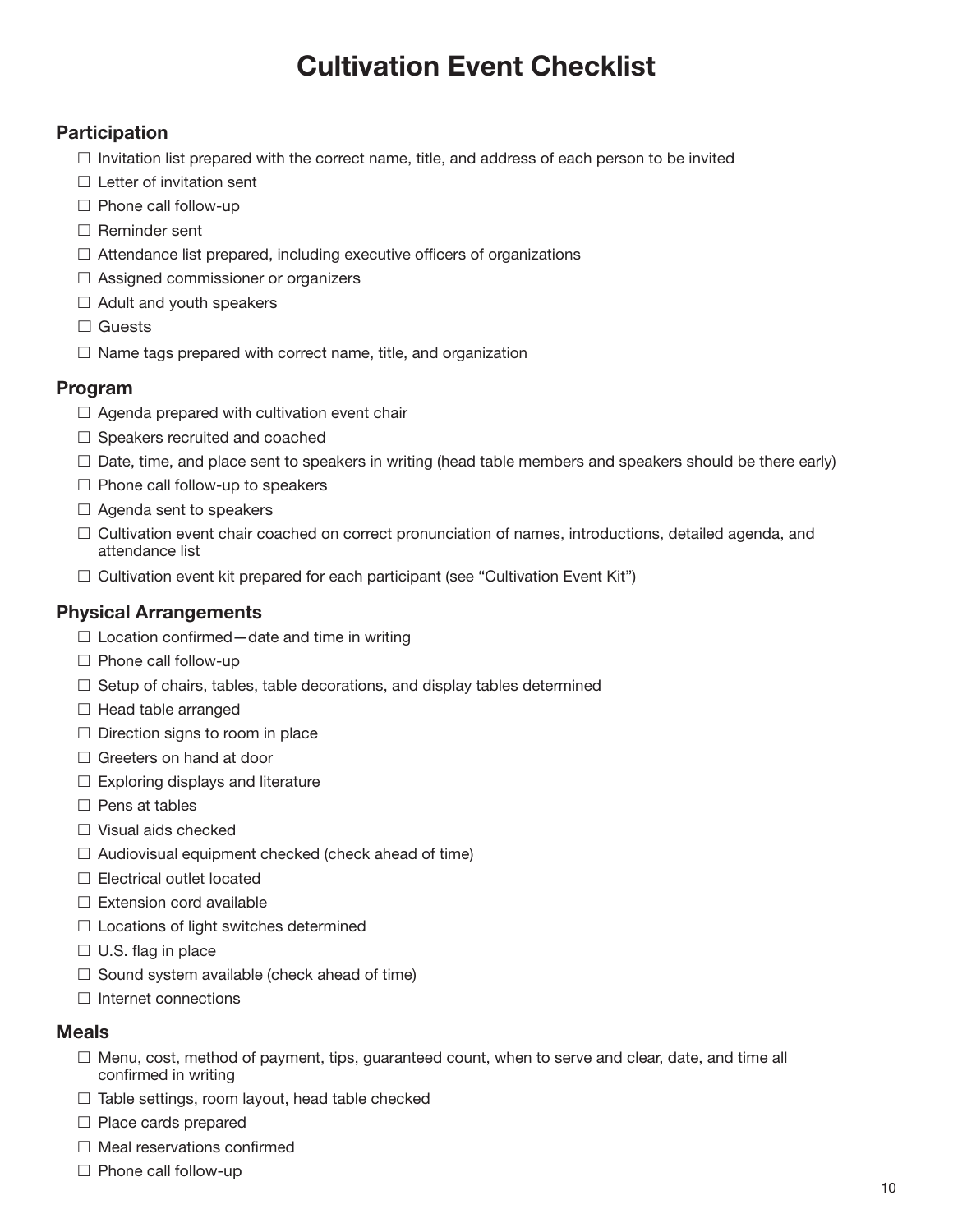# Cultivation Event Checklist

#### **Participation**

- $\Box$  Invitation list prepared with the correct name, title, and address of each person to be invited
- $\square$  Letter of invitation sent
- $\square$  Phone call follow-up
- $\square$  Reminder sent
- $\Box$  Attendance list prepared, including executive officers of organizations
- $\square$  Assigned commissioner or organizers
- $\Box$  Adult and youth speakers
- $\square$  Guests
- $\Box$  Name tags prepared with correct name, title, and organization

#### Program

- $\square$  Agenda prepared with cultivation event chair
- $\square$  Speakers recruited and coached
- $\Box$  Date, time, and place sent to speakers in writing (head table members and speakers should be there early)
- $\Box$  Phone call follow-up to speakers
- $\square$  Agenda sent to speakers
- $\Box$  Cultivation event chair coached on correct pronunciation of names, introductions, detailed agenda, and attendance list
- $\square$  Cultivation event kit prepared for each participant (see "Cultivation Event Kit")

#### Physical Arrangements

- $\Box$  Location confirmed date and time in writing
- $\square$  Phone call follow-up
- $\square$  Setup of chairs, tables, table decorations, and display tables determined
- $\Box$  Head table arranged
- $\square$  Direction signs to room in place
- $\square$  Greeters on hand at door
- $\Box$  Exploring displays and literature
- $\square$  Pens at tables
- $\square$  Visual aids checked
- $\Box$  Audiovisual equipment checked (check ahead of time)
- $\square$  Electrical outlet located
- $\square$  Extension cord available
- $\square$  Locations of light switches determined
- $\Box$  U.S. flag in place
- $\square$  Sound system available (check ahead of time)
- $\square$  Internet connections

#### Meals

- $\Box$  Menu, cost, method of payment, tips, guaranteed count, when to serve and clear, date, and time all confirmed in writing
- $\Box$  Table settings, room layout, head table checked
- $\square$  Place cards prepared
- $\square$  Meal reservations confirmed
- $\square$  Phone call follow-up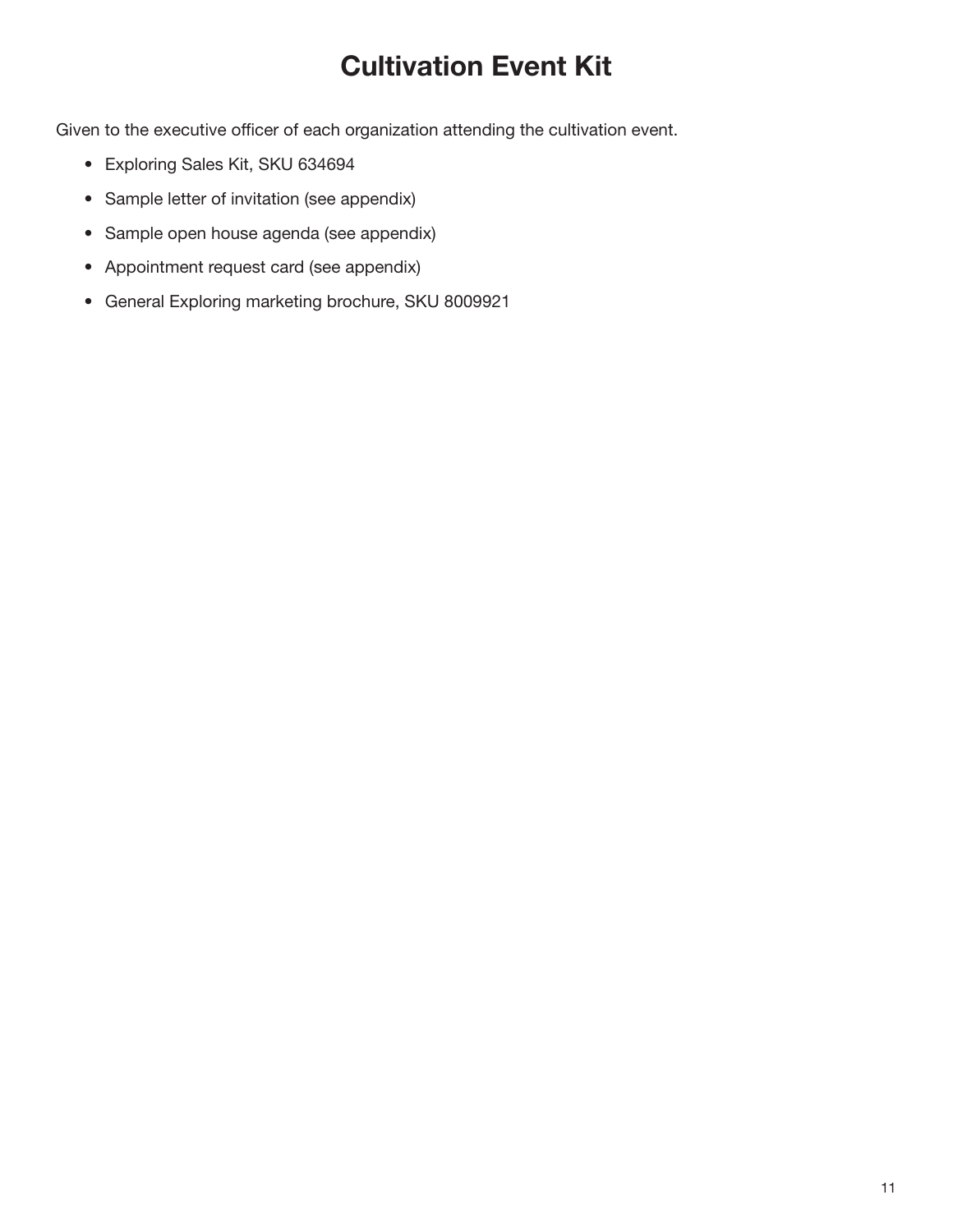# Cultivation Event Kit

Given to the executive officer of each organization attending the cultivation event.

- Exploring Sales Kit, SKU 634694
- Sample letter of invitation (see appendix)
- Sample open house agenda (see appendix)
- Appointment request card (see appendix)
- General Exploring marketing brochure, SKU 8009921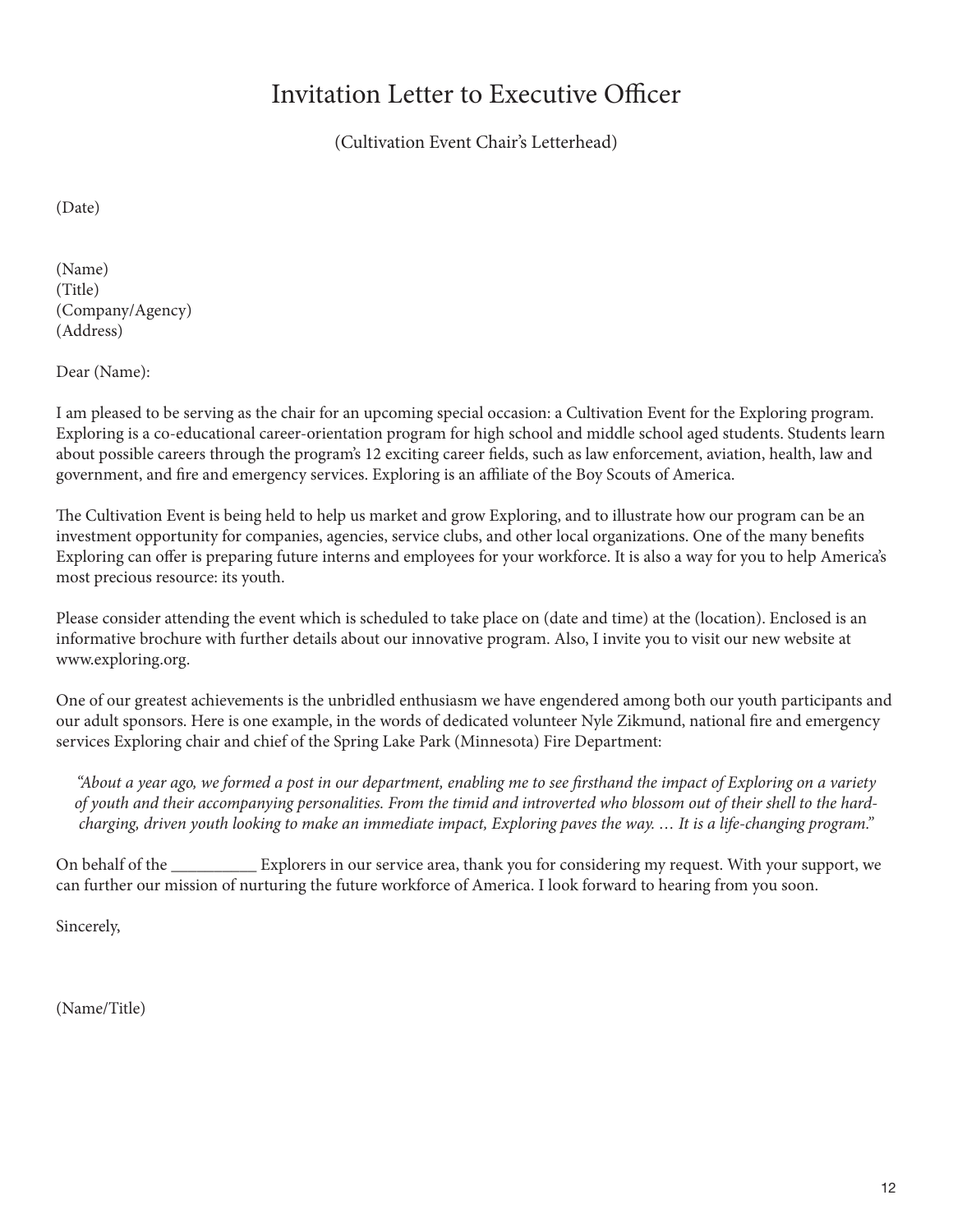# Invitation Letter to Executive Officer

(Cultivation Event Chair's Letterhead)

(Date)

(Name) (Title) (Company/Agency) (Address)

Dear (Name):

I am pleased to be serving as the chair for an upcoming special occasion: a Cultivation Event for the Exploring program. Exploring is a co-educational career-orientation program for high school and middle school aged students. Students learn about possible careers through the program's 12 exciting career fields, such as law enforcement, aviation, health, law and government, and fire and emergency services. Exploring is an affiliate of the Boy Scouts of America.

The Cultivation Event is being held to help us market and grow Exploring, and to illustrate how our program can be an investment opportunity for companies, agencies, service clubs, and other local organizations. One of the many benefits Exploring can offer is preparing future interns and employees for your workforce. It is also a way for you to help America's most precious resource: its youth.

Please consider attending the event which is scheduled to take place on (date and time) at the (location). Enclosed is an informative brochure with further details about our innovative program. Also, I invite you to visit our new website at www.exploring.org.

One of our greatest achievements is the unbridled enthusiasm we have engendered among both our youth participants and our adult sponsors. Here is one example, in the words of dedicated volunteer Nyle Zikmund, national fire and emergency services Exploring chair and chief of the Spring Lake Park (Minnesota) Fire Department:

*"About a year ago, we formed a post in our department, enabling me to see firsthand the impact of Exploring on a variety of youth and their accompanying personalities. From the timid and introverted who blossom out of their shell to the hardcharging, driven youth looking to make an immediate impact, Exploring paves the way. … It is a life-changing program."*

On behalf of the \_\_\_\_\_\_\_\_\_\_ Explorers in our service area, thank you for considering my request. With your support, we can further our mission of nurturing the future workforce of America. I look forward to hearing from you soon.

Sincerely,

(Name/Title)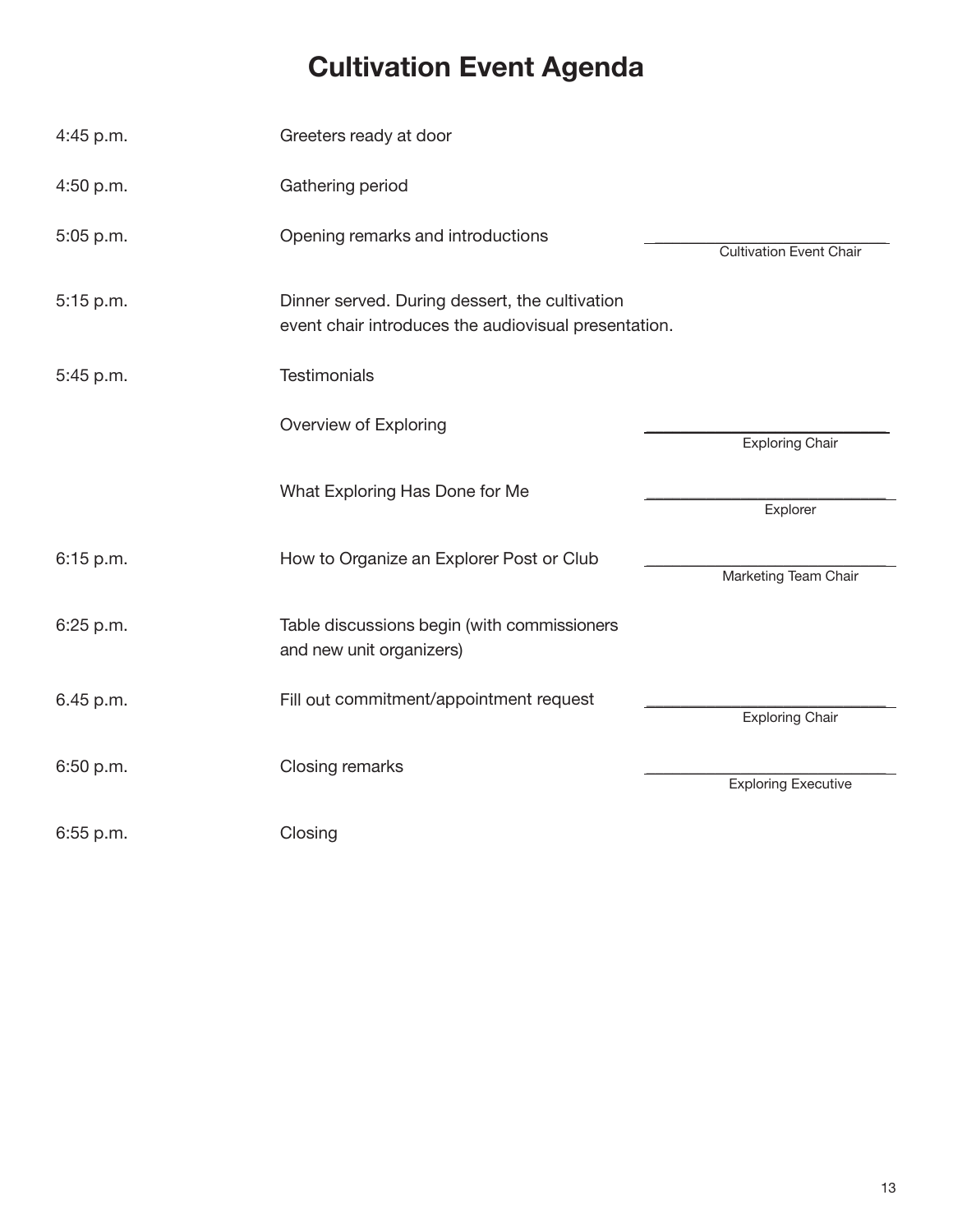# Cultivation Event Agenda

| 4:45 p.m. | Greeters ready at door                                                                                 |                                |
|-----------|--------------------------------------------------------------------------------------------------------|--------------------------------|
| 4:50 p.m. | Gathering period                                                                                       |                                |
| 5:05 p.m. | Opening remarks and introductions                                                                      | <b>Cultivation Event Chair</b> |
| 5:15 p.m. | Dinner served. During dessert, the cultivation<br>event chair introduces the audiovisual presentation. |                                |
| 5:45 p.m. | Testimonials                                                                                           |                                |
|           | Overview of Exploring                                                                                  | <b>Exploring Chair</b>         |
|           | What Exploring Has Done for Me                                                                         | Explorer                       |
| 6:15 p.m. | How to Organize an Explorer Post or Club                                                               | Marketing Team Chair           |
| 6:25 p.m. | Table discussions begin (with commissioners<br>and new unit organizers)                                |                                |
| 6.45 p.m. | Fill out commitment/appointment request                                                                | <b>Exploring Chair</b>         |
| 6:50 p.m. | Closing remarks                                                                                        | <b>Exploring Executive</b>     |
| 6:55 p.m. | Closing                                                                                                |                                |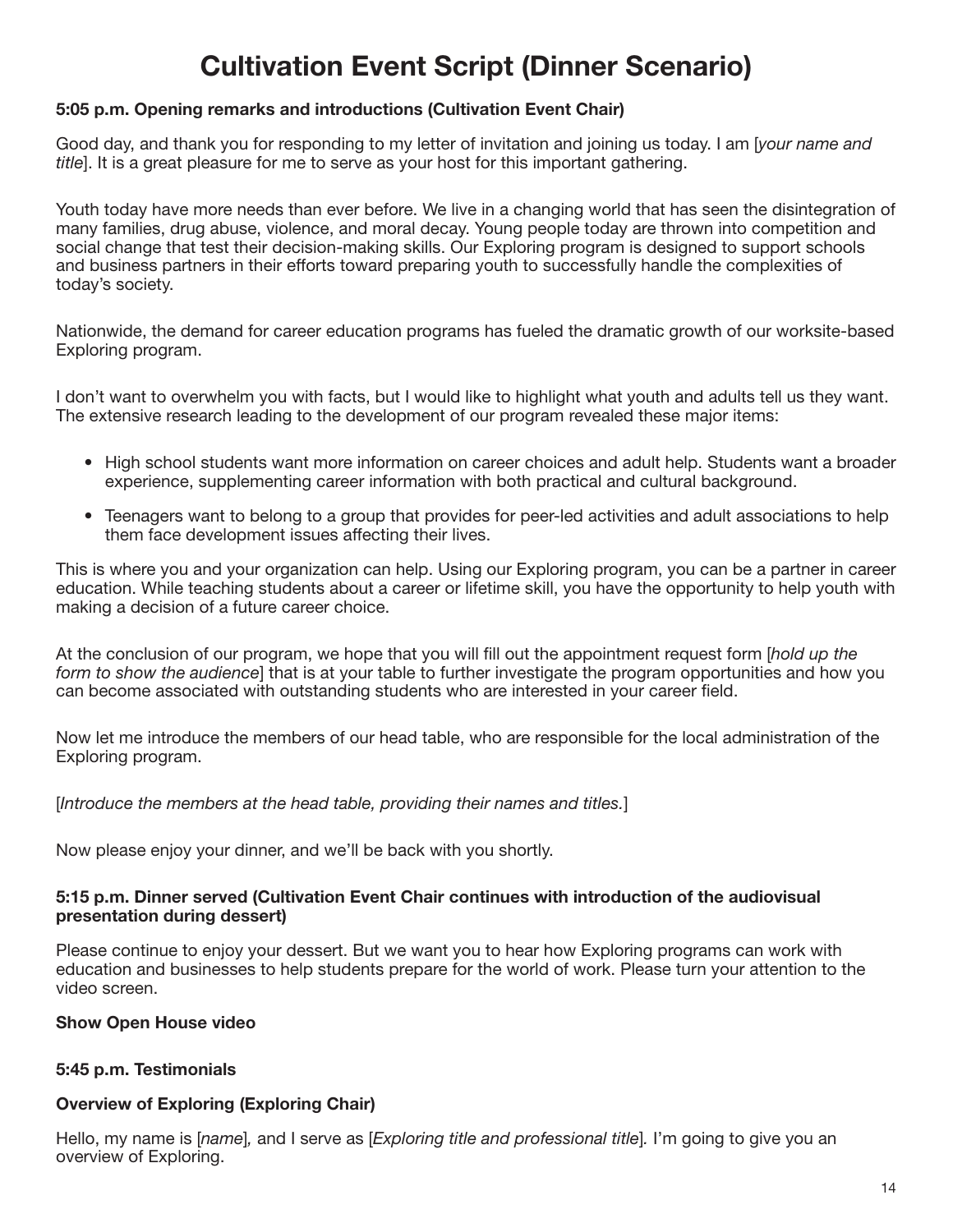# Cultivation Event Script (Dinner Scenario)

#### 5:05 p.m. Opening remarks and introductions (Cultivation Event Chair)

Good day, and thank you for responding to my letter of invitation and joining us today. I am [*your name and title*]. It is a great pleasure for me to serve as your host for this important gathering.

Youth today have more needs than ever before. We live in a changing world that has seen the disintegration of many families, drug abuse, violence, and moral decay. Young people today are thrown into competition and social change that test their decision-making skills. Our Exploring program is designed to support schools and business partners in their efforts toward preparing youth to successfully handle the complexities of today's society.

Nationwide, the demand for career education programs has fueled the dramatic growth of our worksite-based Exploring program.

I don't want to overwhelm you with facts, but I would like to highlight what youth and adults tell us they want. The extensive research leading to the development of our program revealed these major items:

- High school students want more information on career choices and adult help. Students want a broader experience, supplementing career information with both practical and cultural background.
- Teenagers want to belong to a group that provides for peer-led activities and adult associations to help them face development issues affecting their lives.

This is where you and your organization can help. Using our Exploring program, you can be a partner in career education. While teaching students about a career or lifetime skill, you have the opportunity to help youth with making a decision of a future career choice.

At the conclusion of our program, we hope that you will fill out the appointment request form [*hold up the form to show the audience*] that is at your table to further investigate the program opportunities and how you can become associated with outstanding students who are interested in your career field.

Now let me introduce the members of our head table, who are responsible for the local administration of the Exploring program.

#### [*Introduce the members at the head table, providing their names and titles.*]

Now please enjoy your dinner, and we'll be back with you shortly.

#### 5:15 p.m. Dinner served (Cultivation Event Chair continues with introduction of the audiovisual presentation during dessert)

Please continue to enjoy your dessert. But we want you to hear how Exploring programs can work with education and businesses to help students prepare for the world of work. Please turn your attention to the video screen.

#### Show Open House video

#### 5:45 p.m. Testimonials

#### Overview of Exploring (Exploring Chair)

Hello, my name is [*name*]*,* and I serve as [*Exploring title and professional title*]*.* I'm going to give you an overview of Exploring.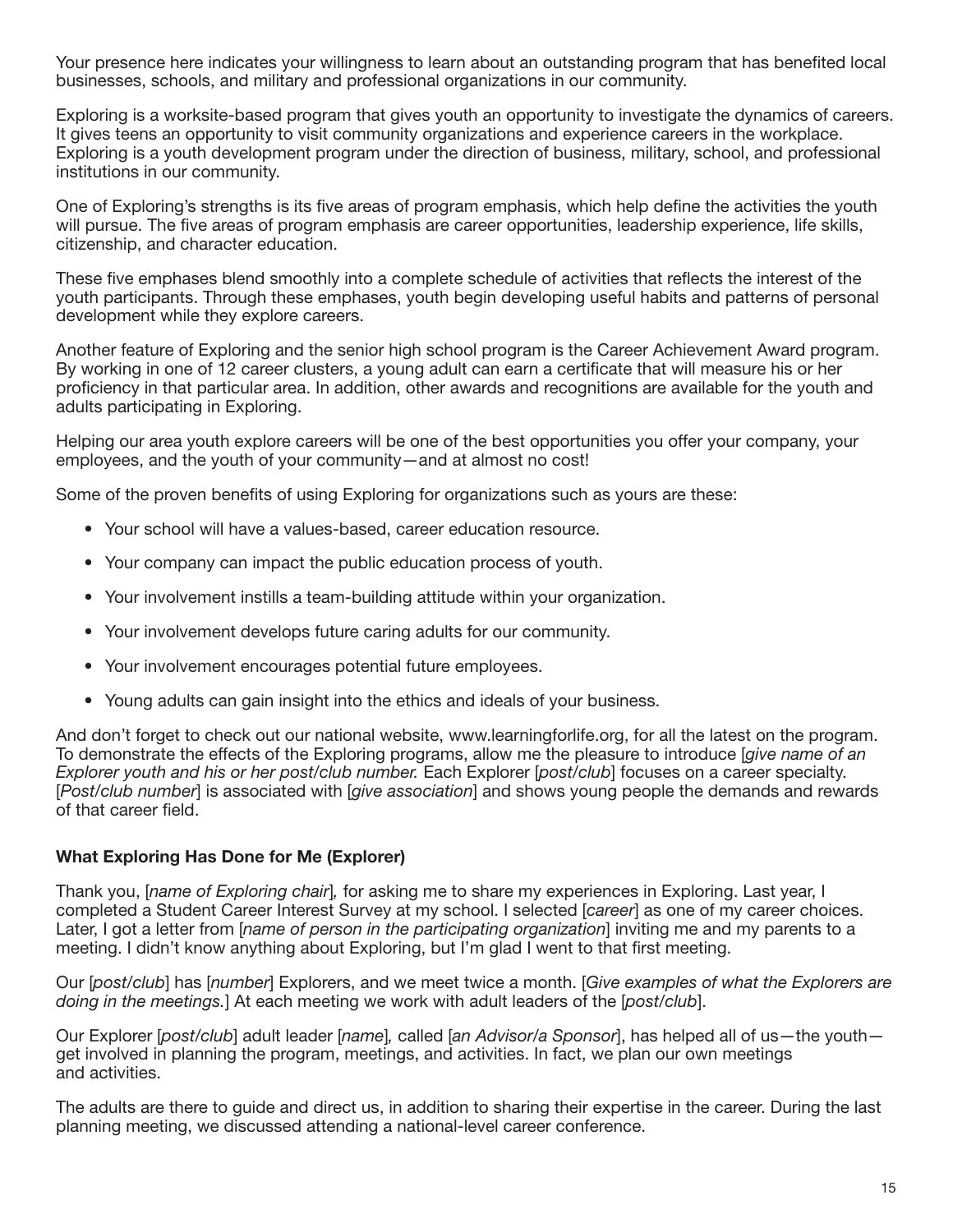Your presence here indicates your willingness to learn about an outstanding program that has benefited local businesses, schools, and military and professional organizations in our community.

Exploring is a worksite-based program that gives youth an opportunity to investigate the dynamics of careers. It gives teens an opportunity to visit community organizations and experience careers in the workplace. Exploring is a youth development program under the direction of business, military, school, and professional institutions in our community.

One of Exploring's strengths is its five areas of program emphasis, which help define the activities the youth will pursue. The five areas of program emphasis are career opportunities, leadership experience, life skills, citizenship, and character education.

These five emphases blend smoothly into a complete schedule of activities that reflects the interest of the youth participants. Through these emphases, youth begin developing useful habits and patterns of personal development while they explore careers.

Another feature of Exploring and the senior high school program is the Career Achievement Award program. By working in one of 12 career clusters, a young adult can earn a certificate that will measure his or her proficiency in that particular area. In addition, other awards and recognitions are available for the youth and adults participating in Exploring.

Helping our area youth explore careers will be one of the best opportunities you offer your company, your employees, and the youth of your community—and at almost no cost!

Some of the proven benefits of using Exploring for organizations such as yours are these:

- Your school will have a values-based, career education resource.
- Your company can impact the public education process of youth.
- Your involvement instills a team-building attitude within your organization.
- Your involvement develops future caring adults for our community.
- Your involvement encourages potential future employees.
- Young adults can gain insight into the ethics and ideals of your business.

And don't forget to check out our national website, www.learningforlife.org, for all the latest on the program. To demonstrate the effects of the Exploring programs, allow me the pleasure to introduce [*give name of an Explorer youth and his or her post/club number.* Each Explorer [*post/club*] focuses on a career specialty. [*Post/club number*] is associated with [*give association*] and shows young people the demands and rewards of that career field.

#### What Exploring Has Done for Me (Explorer)

Thank you, [*name of Exploring chair*]*,* for asking me to share my experiences in Exploring. Last year, I completed a Student Career Interest Survey at my school. I selected [*career*] as one of my career choices. Later, I got a letter from [*name of person in the participating organization*] inviting me and my parents to a meeting. I didn't know anything about Exploring, but I'm glad I went to that first meeting.

Our [*post/club*] has [*number*] Explorers, and we meet twice a month. [*Give examples of what the Explorers are doing in the meetings.*] At each meeting we work with adult leaders of the [*post/club*].

Our Explorer [*post/club*] adult leader [*name*]*,* called [*an Advisor/a Sponsor*], has helped all of us—the youth get involved in planning the program, meetings, and activities. In fact, we plan our own meetings and activities.

The adults are there to guide and direct us, in addition to sharing their expertise in the career. During the last planning meeting, we discussed attending a national-level career conference.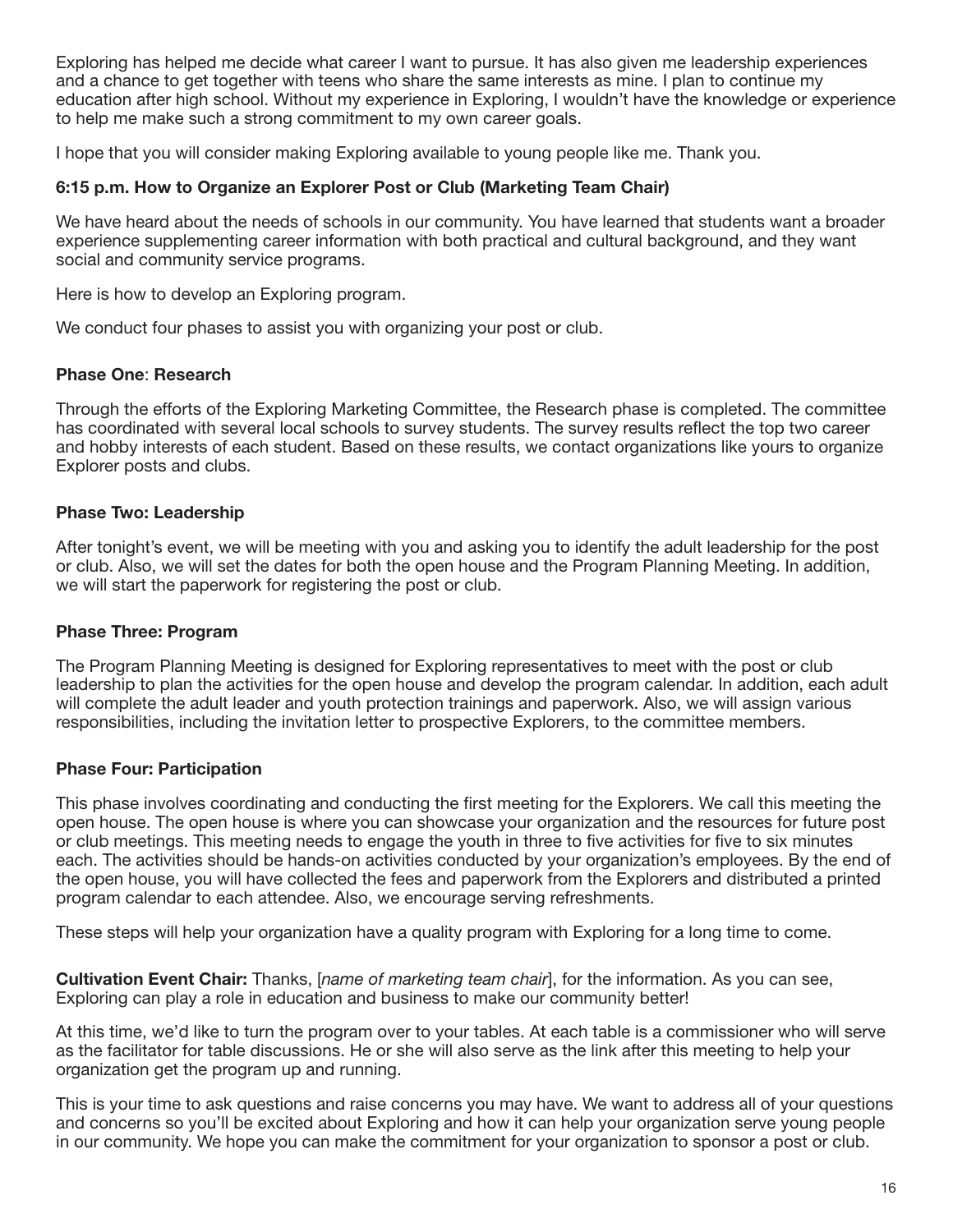Exploring has helped me decide what career I want to pursue. It has also given me leadership experiences and a chance to get together with teens who share the same interests as mine. I plan to continue my education after high school. Without my experience in Exploring, I wouldn't have the knowledge or experience to help me make such a strong commitment to my own career goals.

I hope that you will consider making Exploring available to young people like me. Thank you.

#### 6:15 p.m. How to Organize an Explorer Post or Club (Marketing Team Chair)

We have heard about the needs of schools in our community. You have learned that students want a broader experience supplementing career information with both practical and cultural background, and they want social and community service programs.

Here is how to develop an Exploring program.

We conduct four phases to assist you with organizing your post or club.

#### Phase One: Research

Through the efforts of the Exploring Marketing Committee, the Research phase is completed. The committee has coordinated with several local schools to survey students. The survey results reflect the top two career and hobby interests of each student. Based on these results, we contact organizations like yours to organize Explorer posts and clubs.

#### Phase Two: Leadership

After tonight's event, we will be meeting with you and asking you to identify the adult leadership for the post or club. Also, we will set the dates for both the open house and the Program Planning Meeting. In addition, we will start the paperwork for registering the post or club.

#### Phase Three: Program

The Program Planning Meeting is designed for Exploring representatives to meet with the post or club leadership to plan the activities for the open house and develop the program calendar. In addition, each adult will complete the adult leader and youth protection trainings and paperwork. Also, we will assign various responsibilities, including the invitation letter to prospective Explorers, to the committee members.

#### Phase Four: Participation

This phase involves coordinating and conducting the first meeting for the Explorers. We call this meeting the open house. The open house is where you can showcase your organization and the resources for future post or club meetings. This meeting needs to engage the youth in three to five activities for five to six minutes each. The activities should be hands-on activities conducted by your organization's employees. By the end of the open house, you will have collected the fees and paperwork from the Explorers and distributed a printed program calendar to each attendee. Also, we encourage serving refreshments.

These steps will help your organization have a quality program with Exploring for a long time to come.

Cultivation Event Chair: Thanks, [*name of marketing team chair*], for the information. As you can see, Exploring can play a role in education and business to make our community better!

At this time, we'd like to turn the program over to your tables. At each table is a commissioner who will serve as the facilitator for table discussions. He or she will also serve as the link after this meeting to help your organization get the program up and running.

This is your time to ask questions and raise concerns you may have. We want to address all of your questions and concerns so you'll be excited about Exploring and how it can help your organization serve young people in our community. We hope you can make the commitment for your organization to sponsor a post or club.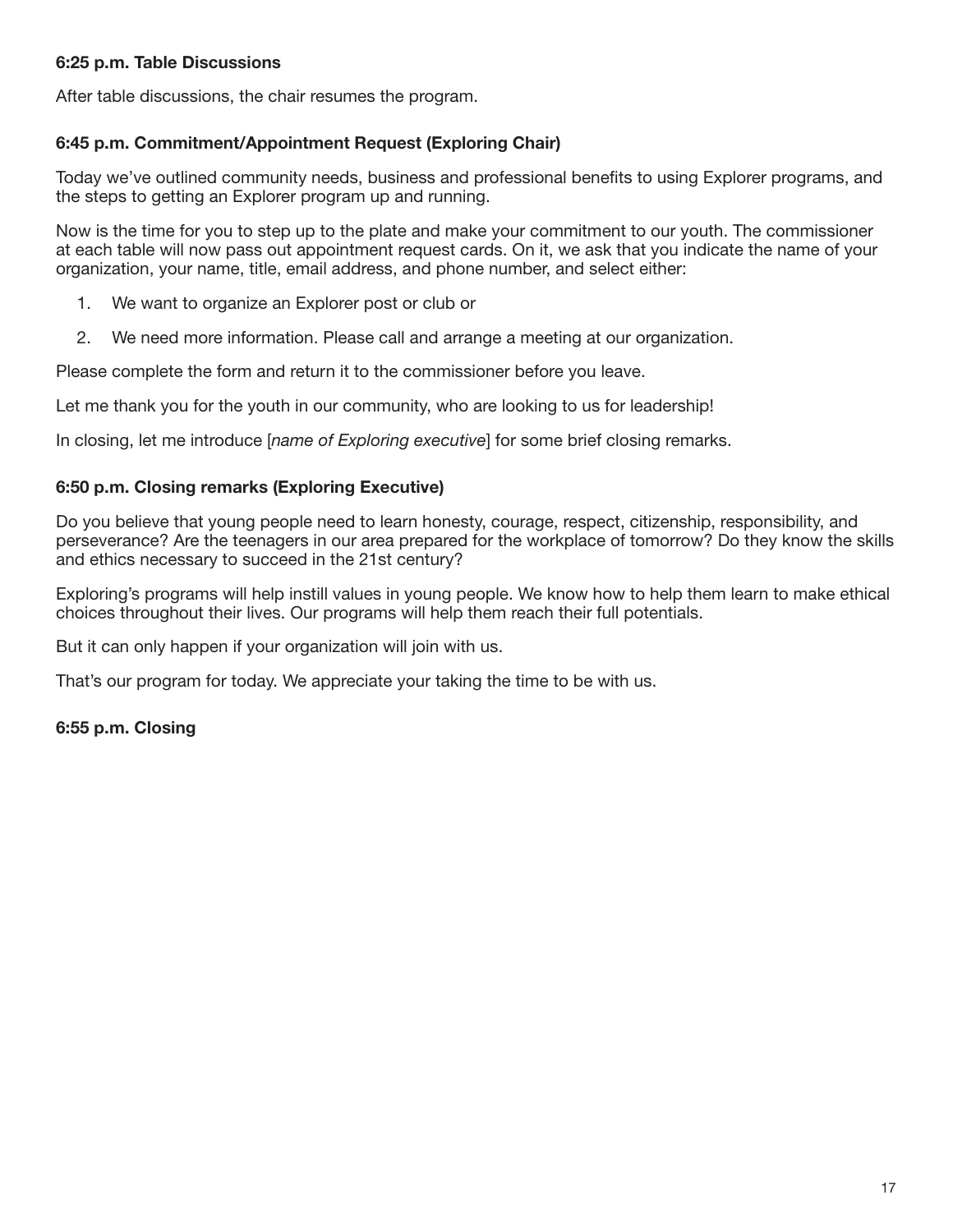#### 6:25 p.m. Table Discussions

After table discussions, the chair resumes the program.

#### 6:45 p.m. Commitment/Appointment Request (Exploring Chair)

Today we've outlined community needs, business and professional benefits to using Explorer programs, and the steps to getting an Explorer program up and running.

Now is the time for you to step up to the plate and make your commitment to our youth. The commissioner at each table will now pass out appointment request cards. On it, we ask that you indicate the name of your organization, your name, title, email address, and phone number, and select either:

- 1. We want to organize an Explorer post or club or
- 2. We need more information. Please call and arrange a meeting at our organization.

Please complete the form and return it to the commissioner before you leave.

Let me thank you for the youth in our community, who are looking to us for leadership!

In closing, let me introduce [*name of Exploring executive*] for some brief closing remarks.

#### 6:50 p.m. Closing remarks (Exploring Executive)

Do you believe that young people need to learn honesty, courage, respect, citizenship, responsibility, and perseverance? Are the teenagers in our area prepared for the workplace of tomorrow? Do they know the skills and ethics necessary to succeed in the 21st century?

Exploring's programs will help instill values in young people. We know how to help them learn to make ethical choices throughout their lives. Our programs will help them reach their full potentials.

But it can only happen if your organization will join with us.

That's our program for today. We appreciate your taking the time to be with us.

#### 6:55 p.m. Closing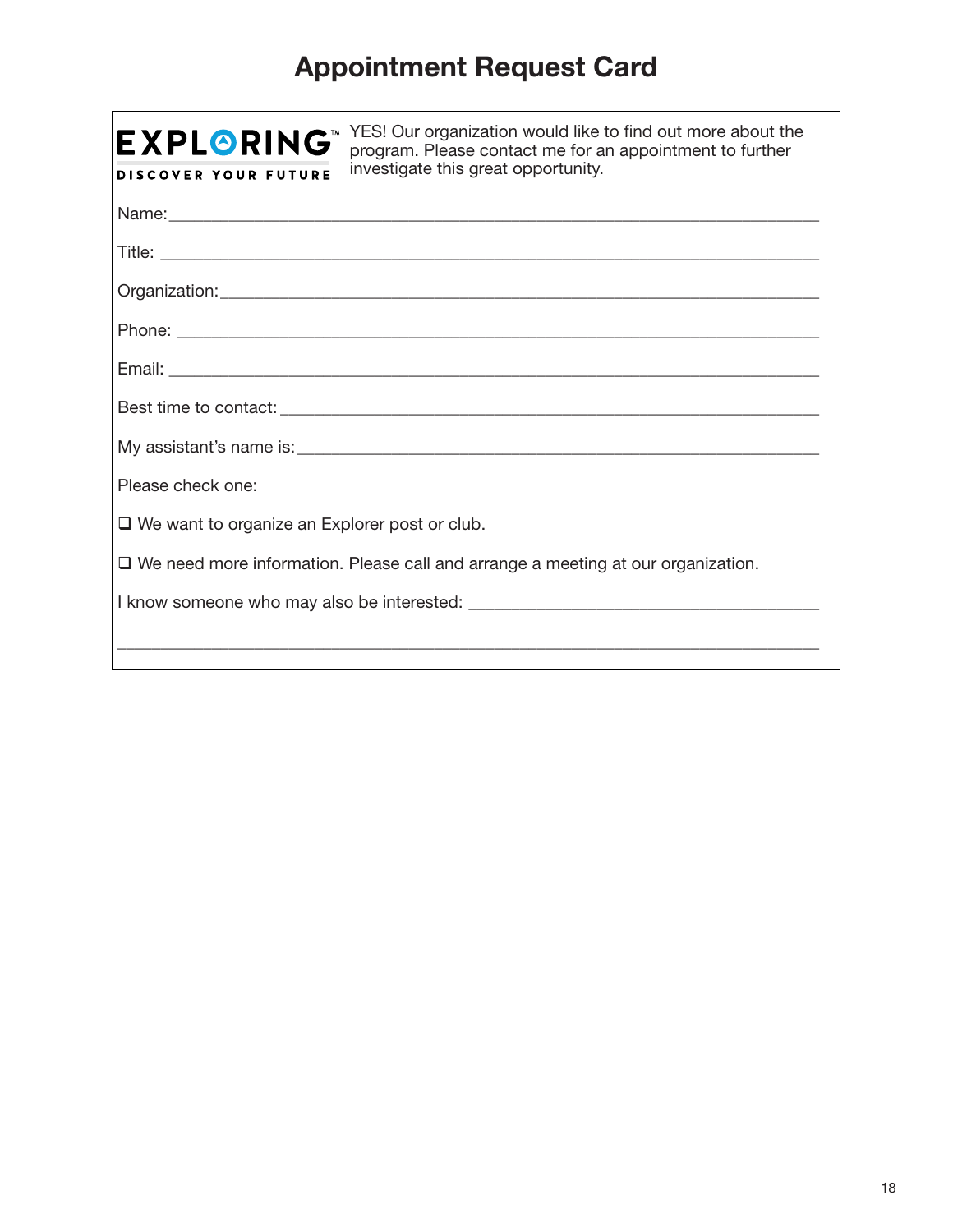# Appointment Request Card

| YES! Our organization would like to find out more about the<br><b>EXPLORING®</b><br>program. Please contact me for an appointment to further<br>investigate this great opportunity.<br><b>DISCOVER YOUR FUTURE</b> |  |  |
|--------------------------------------------------------------------------------------------------------------------------------------------------------------------------------------------------------------------|--|--|
|                                                                                                                                                                                                                    |  |  |
|                                                                                                                                                                                                                    |  |  |
|                                                                                                                                                                                                                    |  |  |
|                                                                                                                                                                                                                    |  |  |
|                                                                                                                                                                                                                    |  |  |
|                                                                                                                                                                                                                    |  |  |
|                                                                                                                                                                                                                    |  |  |
| Please check one:                                                                                                                                                                                                  |  |  |
| $\Box$ We want to organize an Explorer post or club.                                                                                                                                                               |  |  |
| $\square$ We need more information. Please call and arrange a meeting at our organization.                                                                                                                         |  |  |
|                                                                                                                                                                                                                    |  |  |
|                                                                                                                                                                                                                    |  |  |
|                                                                                                                                                                                                                    |  |  |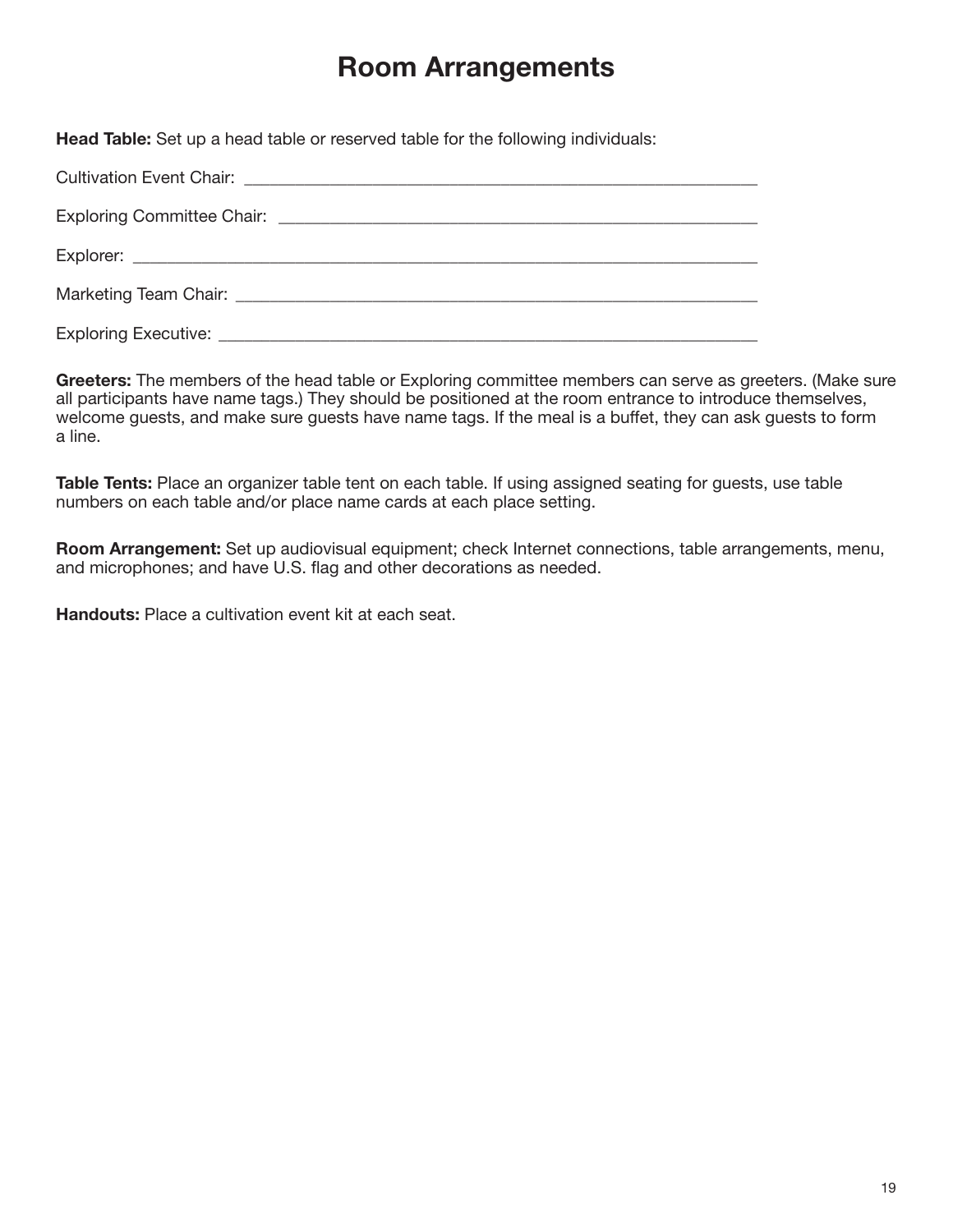# Room Arrangements

Head Table: Set up a head table or reserved table for the following individuals:

Greeters: The members of the head table or Exploring committee members can serve as greeters. (Make sure all participants have name tags.) They should be positioned at the room entrance to introduce themselves, welcome guests, and make sure guests have name tags. If the meal is a buffet, they can ask guests to form a line.

Table Tents: Place an organizer table tent on each table. If using assigned seating for guests, use table numbers on each table and/or place name cards at each place setting.

Room Arrangement: Set up audiovisual equipment; check Internet connections, table arrangements, menu, and microphones; and have U.S. flag and other decorations as needed.

Handouts: Place a cultivation event kit at each seat.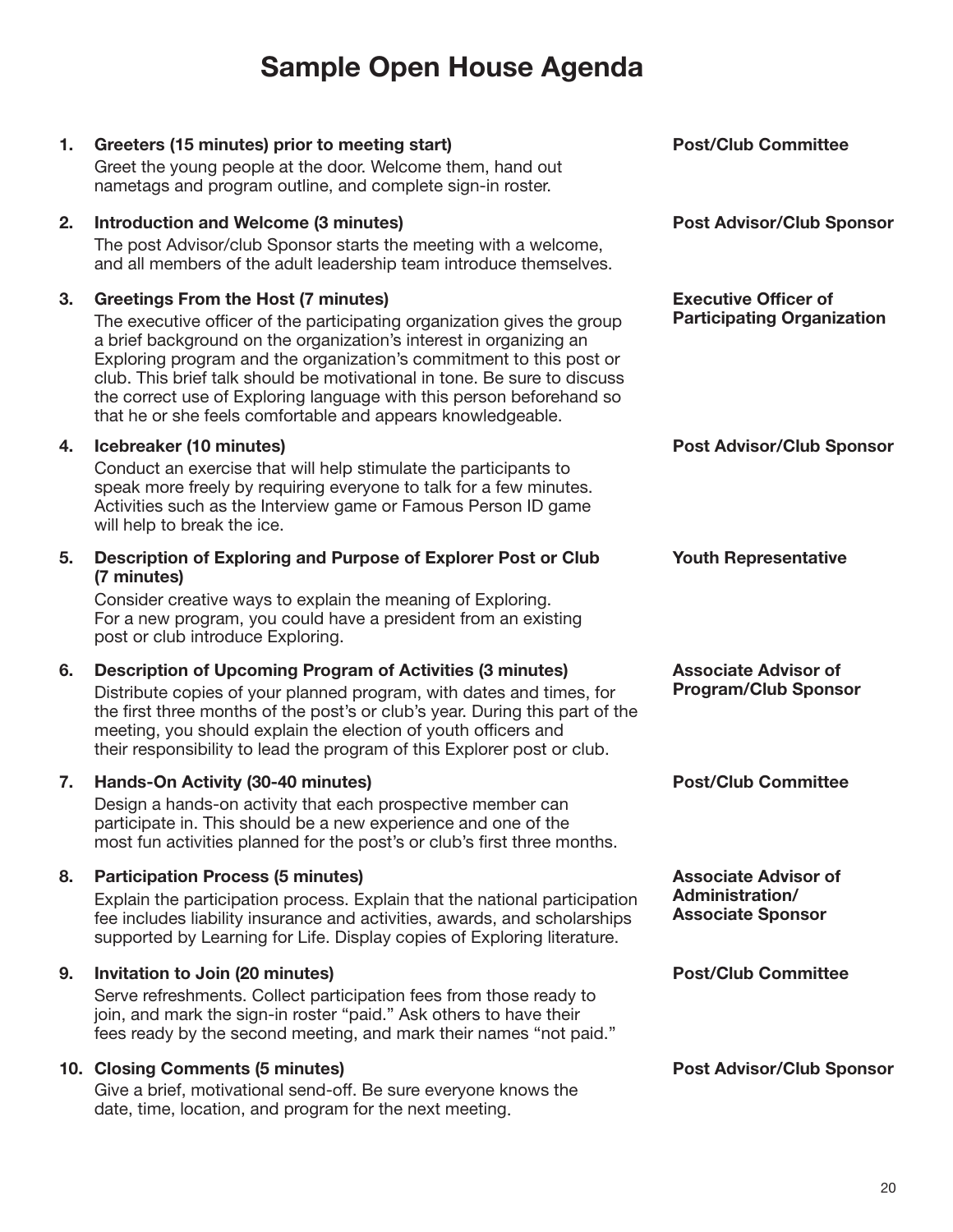# Sample Open House Agenda

#### 1. Greeters (15 minutes) prior to meeting start)

Greet the young people at the door. Welcome them, hand out nametags and program outline, and complete sign-in roster.

#### 2. Introduction and Welcome (3 minutes)

The post Advisor/club Sponsor starts the meeting with a welcome, and all members of the adult leadership team introduce themselves.

#### 3. Greetings From the Host (7 minutes)

The executive officer of the participating organization gives the group a brief background on the organization's interest in organizing an Exploring program and the organization's commitment to this post or club. This brief talk should be motivational in tone. Be sure to discuss the correct use of Exploring language with this person beforehand so that he or she feels comfortable and appears knowledgeable.

#### 4. Icebreaker (10 minutes)

Conduct an exercise that will help stimulate the participants to speak more freely by requiring everyone to talk for a few minutes. Activities such as the Interview game or Famous Person ID game will help to break the ice.

#### 5. Description of Exploring and Purpose of Explorer Post or Club (7 minutes)

Consider creative ways to explain the meaning of Exploring. For a new program, you could have a president from an existing post or club introduce Exploring.

#### 6. Description of Upcoming Program of Activities (3 minutes)

Distribute copies of your planned program, with dates and times, for the first three months of the post's or club's year. During this part of the meeting, you should explain the election of youth officers and their responsibility to lead the program of this Explorer post or club.

#### 7. Hands‐On Activity (30‐40 minutes)

Design a hands-on activity that each prospective member can participate in. This should be a new experience and one of the most fun activities planned for the post's or club's first three months.

#### 8. Participation Process (5 minutes)

Explain the participation process. Explain that the national participation fee includes liability insurance and activities, awards, and scholarships supported by Learning for Life. Display copies of Exploring literature.

#### 9. Invitation to Join (20 minutes)

Serve refreshments. Collect participation fees from those ready to join, and mark the sign-in roster "paid." Ask others to have their fees ready by the second meeting, and mark their names "not paid."

#### 10. Closing Comments (5 minutes)

Give a brief, motivational send-off. Be sure everyone knows the date, time, location, and program for the next meeting.

Post/Club Committee

Post Advisor/Club Sponsor

Executive Officer of Participating Organization

Post Advisor/Club Sponsor

Youth Representative

Associate Advisor of Program/Club Sponsor

Post/Club Committee

Associate Advisor of Administration/ Associate Sponsor

Post/Club Committee

Post Advisor/Club Sponsor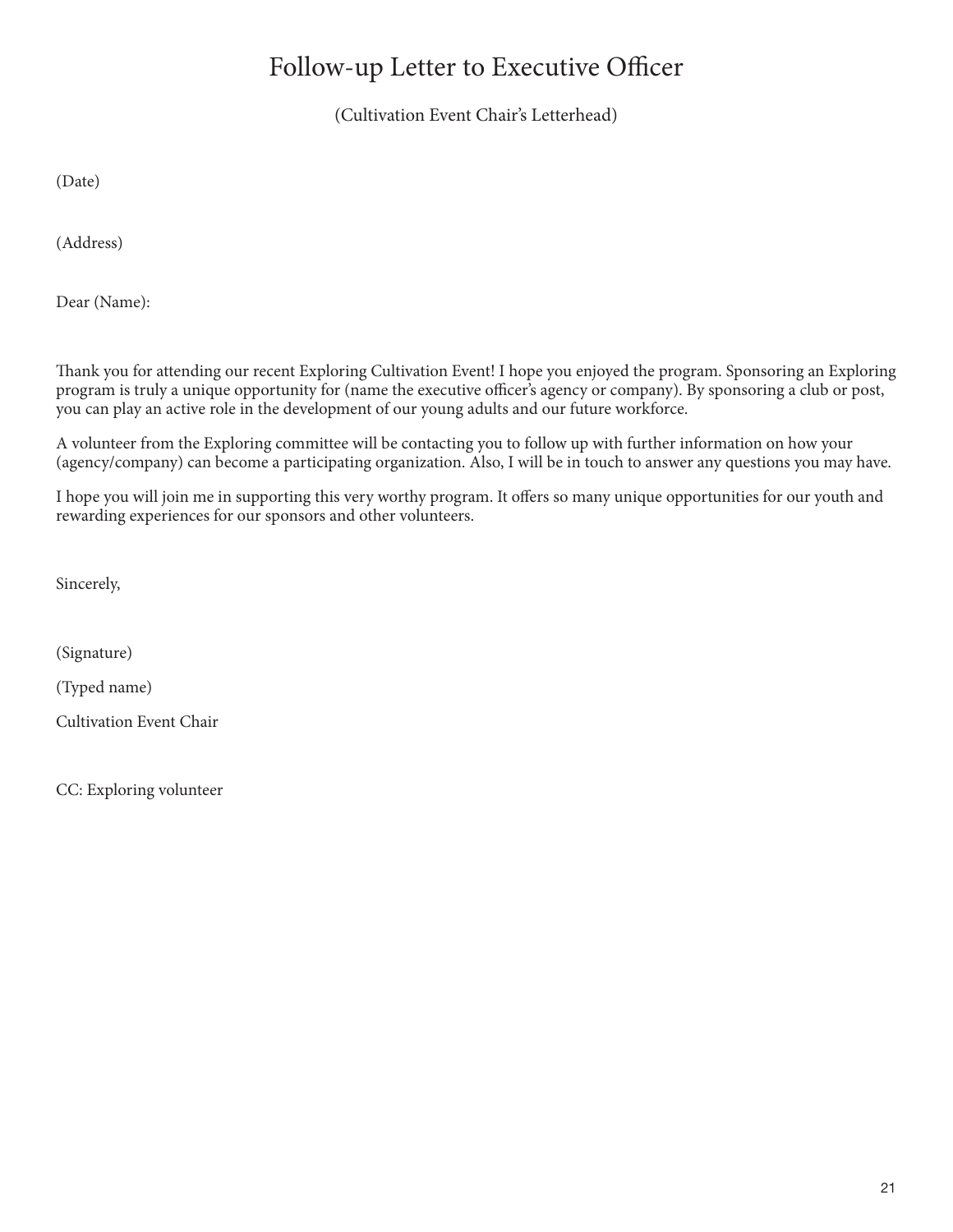# Follow-up Letter to Executive Officer

(Cultivation Event Chair's Letterhead)

(Date)

(Address)

Dear (Name):

Thank you for attending our recent Exploring Cultivation Event! I hope you enjoyed the program. Sponsoring an Exploring program is truly a unique opportunity for (name the executive officer's agency or company). By sponsoring a club or post, you can play an active role in the development of our young adults and our future workforce.

A volunteer from the Exploring committee will be contacting you to follow up with further information on how your (agency/company) can become a participating organization. Also, I will be in touch to answer any questions you may have.

I hope you will join me in supporting this very worthy program. It offers so many unique opportunities for our youth and rewarding experiences for our sponsors and other volunteers.

Sincerely,

(Signature)

(Typed name)

Cultivation Event Chair

CC: Exploring volunteer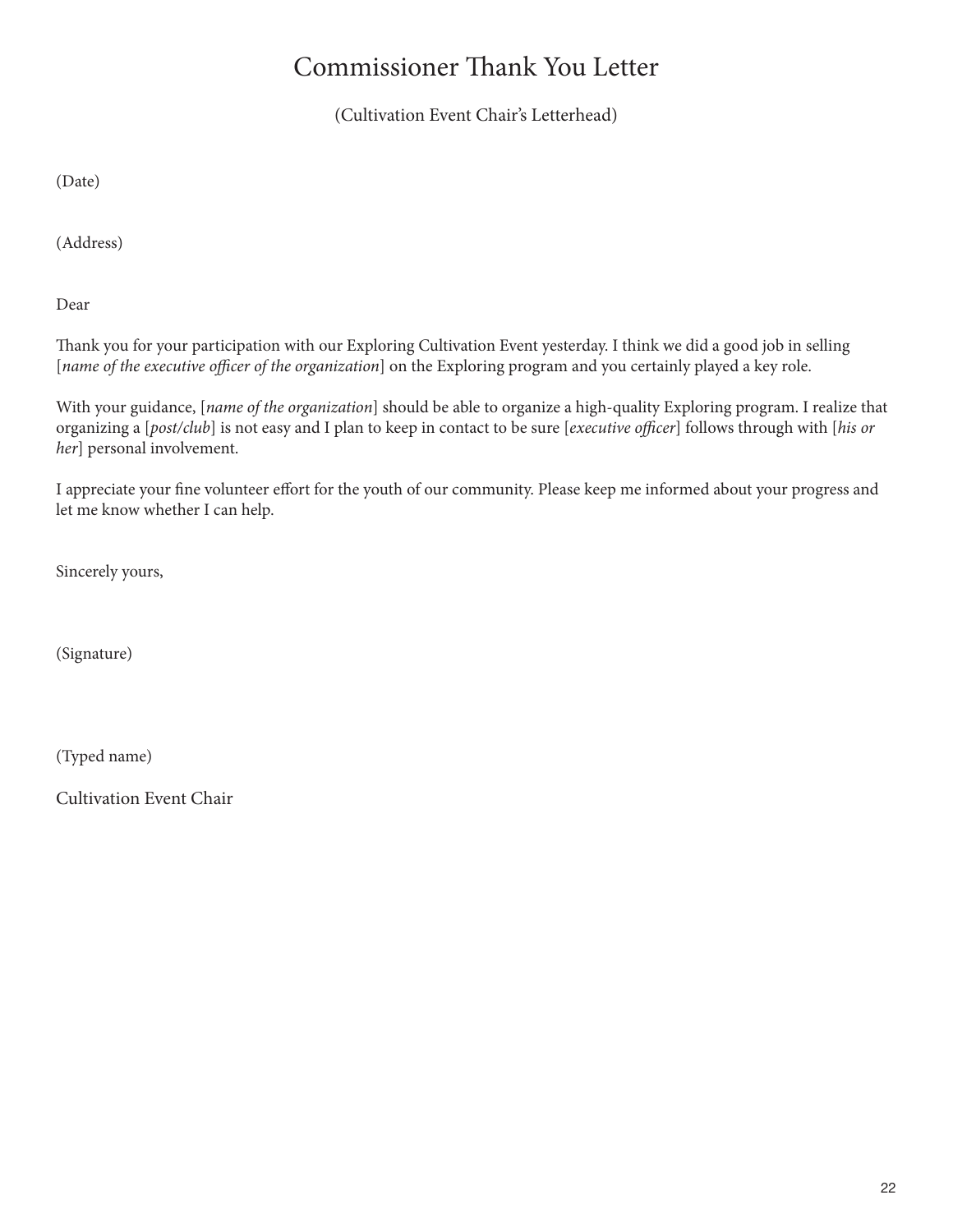# Commissioner Thank You Letter

(Cultivation Event Chair's Letterhead)

(Date)

(Address)

Dear

Thank you for your participation with our Exploring Cultivation Event yesterday. I think we did a good job in selling [*name of the executive officer of the organization*] on the Exploring program and you certainly played a key role.

With your guidance, [*name of the organization*] should be able to organize a high-quality Exploring program. I realize that organizing a [*post/club*] is not easy and I plan to keep in contact to be sure [*executive officer*] follows through with [*his or her*] personal involvement.

I appreciate your fine volunteer effort for the youth of our community. Please keep me informed about your progress and let me know whether I can help.

Sincerely yours,

(Signature)

(Typed name)

Cultivation Event Chair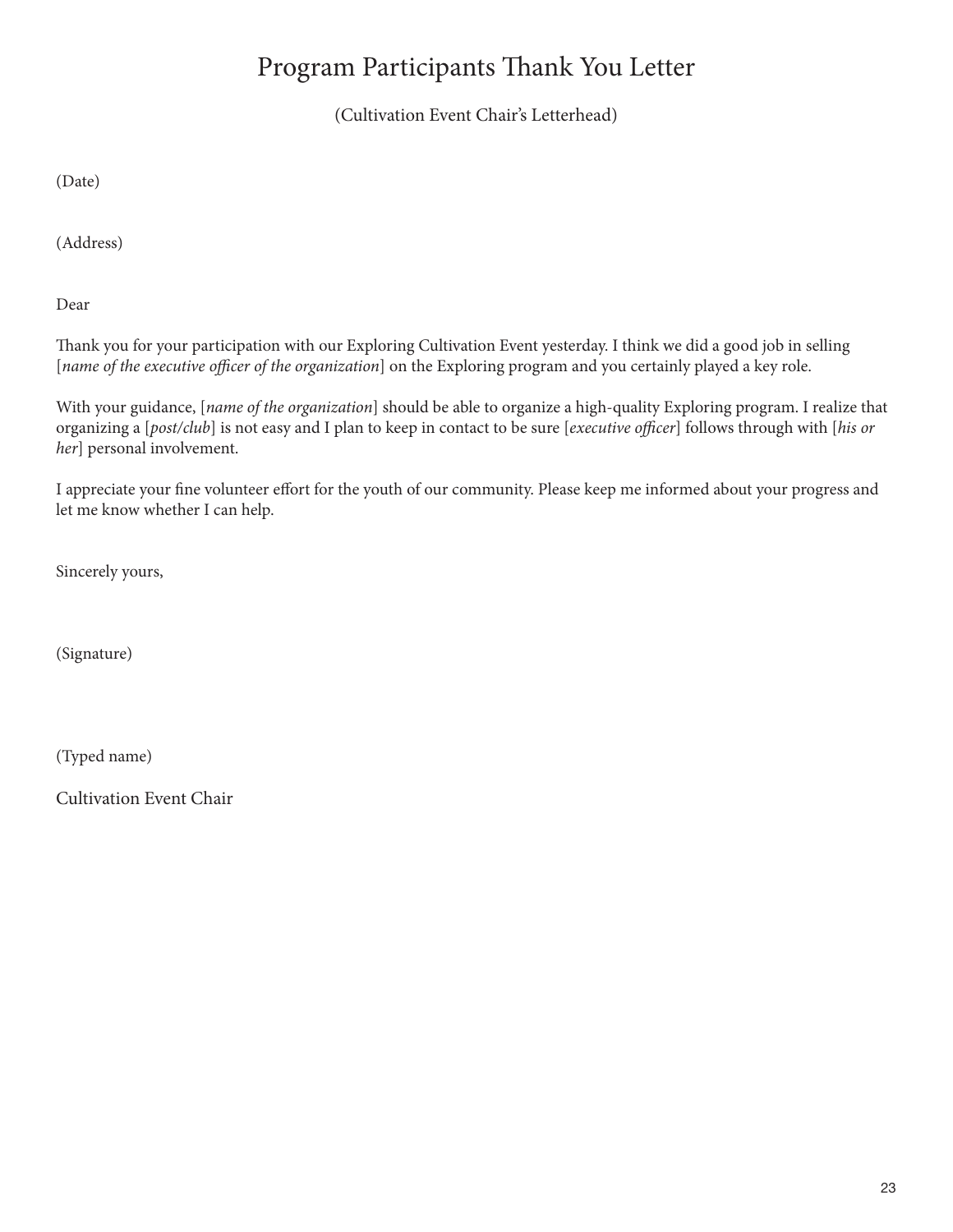# Program Participants Thank You Letter

(Cultivation Event Chair's Letterhead)

(Date)

(Address)

Dear

Thank you for your participation with our Exploring Cultivation Event yesterday. I think we did a good job in selling [*name of the executive officer of the organization*] on the Exploring program and you certainly played a key role.

With your guidance, [*name of the organization*] should be able to organize a high-quality Exploring program. I realize that organizing a [*post/club*] is not easy and I plan to keep in contact to be sure [*executive officer*] follows through with [*his or her*] personal involvement.

I appreciate your fine volunteer effort for the youth of our community. Please keep me informed about your progress and let me know whether I can help.

Sincerely yours,

(Signature)

(Typed name)

Cultivation Event Chair